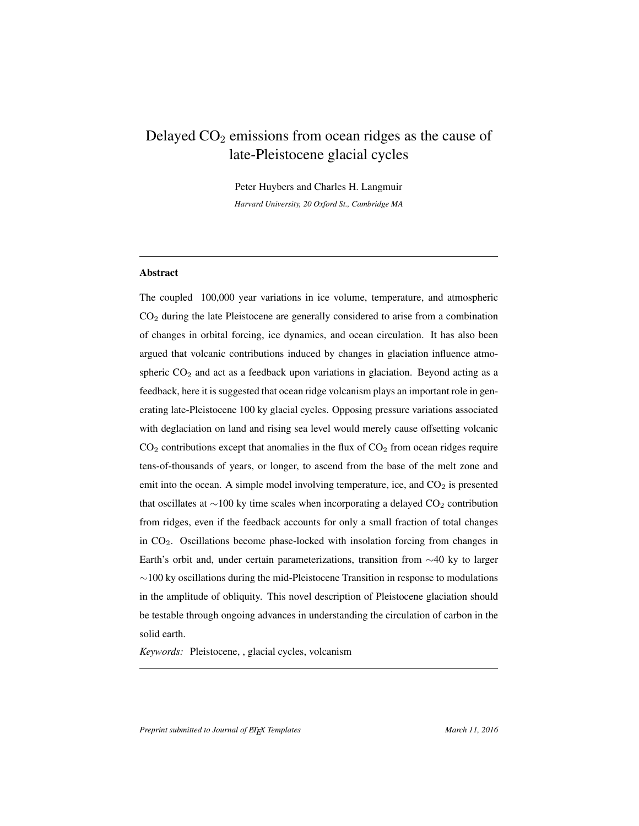# Delayed  $CO<sub>2</sub>$  emissions from ocean ridges as the cause of late-Pleistocene glacial cycles

Peter Huybers and Charles H. Langmuir *Harvard University, 20 Oxford St., Cambridge MA*

# Abstract

The coupled 100,000 year variations in ice volume, temperature, and atmospheric CO<sup>2</sup> during the late Pleistocene are generally considered to arise from a combination of changes in orbital forcing, ice dynamics, and ocean circulation. It has also been argued that volcanic contributions induced by changes in glaciation influence atmospheric  $CO<sub>2</sub>$  and act as a feedback upon variations in glaciation. Beyond acting as a feedback, here it is suggested that ocean ridge volcanism plays an important role in generating late-Pleistocene 100 ky glacial cycles. Opposing pressure variations associated with deglaciation on land and rising sea level would merely cause offsetting volcanic  $CO<sub>2</sub>$  contributions except that anomalies in the flux of  $CO<sub>2</sub>$  from ocean ridges require tens-of-thousands of years, or longer, to ascend from the base of the melt zone and emit into the ocean. A simple model involving temperature, ice, and  $CO<sub>2</sub>$  is presented that oscillates at  $\sim$ 100 ky time scales when incorporating a delayed CO<sub>2</sub> contribution from ridges, even if the feedback accounts for only a small fraction of total changes in CO2. Oscillations become phase-locked with insolation forcing from changes in Earth's orbit and, under certain parameterizations, transition from ∼40 ky to larger ∼100 ky oscillations during the mid-Pleistocene Transition in response to modulations in the amplitude of obliquity. This novel description of Pleistocene glaciation should be testable through ongoing advances in understanding the circulation of carbon in the solid earth.

*Keywords:* Pleistocene, , glacial cycles, volcanism

*Preprint submitted to Journal of EIFX Templates* March 11, 2016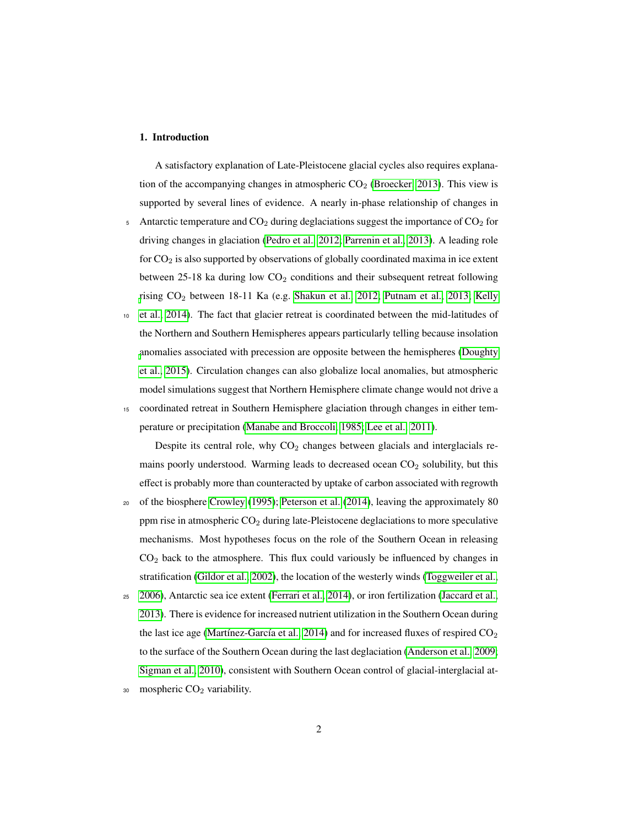#### 1. Introduction

A satisfactory explanation of Late-Pleistocene glacial cycles also requires explanation of the accompanying changes in atmospheric  $CO<sub>2</sub>$  [\(Broecker, 2013\)](#page-21-0). This view is supported by several lines of evidence. A nearly in-phase relationship of changes in

- 5 Antarctic temperature and  $CO<sub>2</sub>$  during deglaciations suggest the importance of  $CO<sub>2</sub>$  for driving changes in glaciation [\(Pedro et al., 2012;](#page-27-0) [Parrenin et al., 2013\)](#page-27-1). A leading role for  $CO<sub>2</sub>$  is also supported by observations of globally coordinated maxima in ice extent between 25-18 ka during low  $CO<sub>2</sub>$  conditions and their subsequent retreat following [r](#page-25-0)ising  $CO_2$  between 18-11 Ka (e.g. [Shakun et al., 2012;](#page-29-0) [Putnam et al., 2013;](#page-28-0) [Kelly](#page-25-0)
- <sup>10</sup> [et al., 2014\)](#page-25-0). The fact that glacier retreat is coordinated between the mid-latitudes of the Northern and Southern Hemispheres appears particularly telling because insolation [a](#page-22-0)nomalies associated with precession are opposite between the hemispheres [\(Doughty](#page-22-0) [et al., 2015\)](#page-22-0). Circulation changes can also globalize local anomalies, but atmospheric model simulations suggest that Northern Hemisphere climate change would not drive a
- <sup>15</sup> coordinated retreat in Southern Hemisphere glaciation through changes in either temperature or precipitation [\(Manabe and Broccoli, 1985;](#page-26-0) [Lee et al., 2011\)](#page-25-1).

Despite its central role, why  $CO<sub>2</sub>$  changes between glacials and interglacials remains poorly understood. Warming leads to decreased ocean  $CO<sub>2</sub>$  solubility, but this effect is probably more than counteracted by uptake of carbon associated with regrowth

- <sup>20</sup> of the biosphere [Crowley](#page-22-1) [\(1995\)](#page-22-1); [Peterson et al.](#page-27-2) [\(2014\)](#page-27-2), leaving the approximately 80 ppm rise in atmospheric  $CO<sub>2</sub>$  during late-Pleistocene deglaciations to more speculative mechanisms. Most hypotheses focus on the role of the Southern Ocean in releasing  $CO<sub>2</sub>$  back to the atmosphere. This flux could variously be influenced by changes in stratification [\(Gildor et al., 2002\)](#page-23-0), the location of the westerly winds [\(Toggweiler et al.,](#page-30-0)
- <sup>25</sup> [2006\)](#page-30-0), Antarctic sea ice extent [\(Ferrari et al., 2014\)](#page-23-1), or iron fertilization [\(Jaccard et al.,](#page-24-0) [2013\)](#page-24-0). There is evidence for increased nutrient utilization in the Southern Ocean during the last ice age [\(Martínez-García et al., 2014\)](#page-26-1) and for increased fluxes of respired  $CO<sub>2</sub>$ to the surface of the Southern Ocean during the last deglaciation [\(Anderson et al., 2009;](#page-20-0) [Sigman et al., 2010\)](#page-29-1), consistent with Southern Ocean control of glacial-interglacial at-
- $30$  mospheric  $CO<sub>2</sub>$  variability.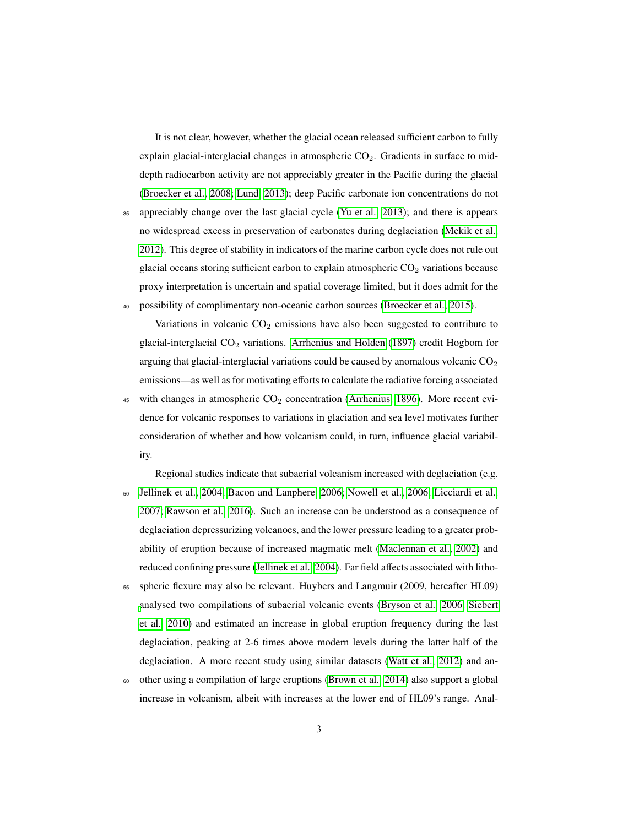It is not clear, however, whether the glacial ocean released sufficient carbon to fully explain glacial-interglacial changes in atmospheric  $CO<sub>2</sub>$ . Gradients in surface to middepth radiocarbon activity are not appreciably greater in the Pacific during the glacial [\(Broecker et al., 2008;](#page-21-1) [Lund, 2013\)](#page-26-2); deep Pacific carbonate ion concentrations do not

<sup>35</sup> appreciably change over the last glacial cycle [\(Yu et al., 2013\)](#page-30-1); and there is appears no widespread excess in preservation of carbonates during deglaciation [\(Mekik et al.,](#page-26-3) [2012\)](#page-26-3). This degree of stability in indicators of the marine carbon cycle does not rule out glacial oceans storing sufficient carbon to explain atmospheric  $CO<sub>2</sub>$  variations because proxy interpretation is uncertain and spatial coverage limited, but it does admit for the <sup>40</sup> possibility of complimentary non-oceanic carbon sources [\(Broecker et al., 2015\)](#page-21-2).

Variations in volcanic  $CO<sub>2</sub>$  emissions have also been suggested to contribute to glacial-interglacial  $CO_2$  variations. [Arrhenius and Holden](#page-20-1) [\(1897\)](#page-20-1) credit Hogbom for arguing that glacial-interglacial variations could be caused by anomalous volcanic  $CO<sub>2</sub>$ emissions—as well as for motivating efforts to calculate the radiative forcing associated 45 with changes in atmospheric  $CO<sub>2</sub>$  concentration [\(Arrhenius, 1896\)](#page-20-2). More recent evidence for volcanic responses to variations in glaciation and sea level motivates further consideration of whether and how volcanism could, in turn, influence glacial variabil-

ity.

Regional studies indicate that subaerial volcanism increased with deglaciation (e.g. <sup>50</sup> [Jellinek et al., 2004;](#page-24-1) [Bacon and Lanphere, 2006;](#page-20-3) [Nowell et al., 2006;](#page-27-3) [Licciardi et al.,](#page-25-2) [2007;](#page-25-2) [Rawson et al., 2016\)](#page-28-1). Such an increase can be understood as a consequence of deglaciation depressurizing volcanoes, and the lower pressure leading to a greater probability of eruption because of increased magmatic melt [\(Maclennan et al., 2002\)](#page-26-4) and reduced confining pressure [\(Jellinek et al., 2004\)](#page-24-1). Far field affects associated with litho-

<sup>55</sup> spheric flexure may also be relevant. Huybers and Langmuir (2009, hereafter HL09) [a](#page-29-2)nalysed two compilations of subaerial volcanic events [\(Bryson et al., 2006;](#page-21-3) [Siebert](#page-29-2) [et al., 2010\)](#page-29-2) and estimated an increase in global eruption frequency during the last deglaciation, peaking at 2-6 times above modern levels during the latter half of the deglaciation. A more recent study using similar datasets [\(Watt et al., 2012\)](#page-30-2) and an-

<sup>60</sup> other using a compilation of large eruptions [\(Brown et al., 2014\)](#page-21-4) also support a global increase in volcanism, albeit with increases at the lower end of HL09's range. Anal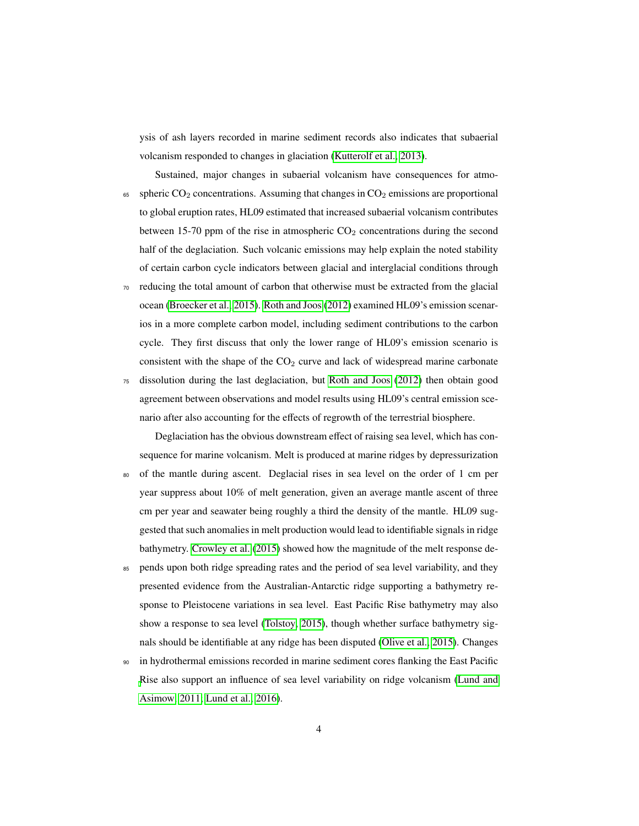ysis of ash layers recorded in marine sediment records also indicates that subaerial volcanism responded to changes in glaciation [\(Kutterolf et al., 2013\)](#page-25-3).

- Sustained, major changes in subaerial volcanism have consequences for atmo- $65$  spheric CO<sub>2</sub> concentrations. Assuming that changes in CO<sub>2</sub> emissions are proportional to global eruption rates, HL09 estimated that increased subaerial volcanism contributes between 15-70 ppm of the rise in atmospheric  $CO<sub>2</sub>$  concentrations during the second half of the deglaciation. Such volcanic emissions may help explain the noted stability of certain carbon cycle indicators between glacial and interglacial conditions through
- <sup>70</sup> reducing the total amount of carbon that otherwise must be extracted from the glacial ocean [\(Broecker et al., 2015\)](#page-21-2). [Roth and Joos](#page-28-2) [\(2012\)](#page-28-2) examined HL09's emission scenarios in a more complete carbon model, including sediment contributions to the carbon cycle. They first discuss that only the lower range of HL09's emission scenario is consistent with the shape of the  $CO<sub>2</sub>$  curve and lack of widespread marine carbonate <sup>75</sup> dissolution during the last deglaciation, but [Roth and Joos](#page-28-2) [\(2012\)](#page-28-2) then obtain good

agreement between observations and model results using HL09's central emission scenario after also accounting for the effects of regrowth of the terrestrial biosphere.

Deglaciation has the obvious downstream effect of raising sea level, which has consequence for marine volcanism. Melt is produced at marine ridges by depressurization <sup>80</sup> of the mantle during ascent. Deglacial rises in sea level on the order of 1 cm per year suppress about 10% of melt generation, given an average mantle ascent of three cm per year and seawater being roughly a third the density of the mantle. HL09 suggested that such anomalies in melt production would lead to identifiable signals in ridge bathymetry. [Crowley et al.](#page-22-2) [\(2015\)](#page-22-2) showed how the magnitude of the melt response de-

- <sup>85</sup> pends upon both ridge spreading rates and the period of sea level variability, and they presented evidence from the Australian-Antarctic ridge supporting a bathymetry response to Pleistocene variations in sea level. East Pacific Rise bathymetry may also show a response to sea level [\(Tolstoy, 2015\)](#page-30-3), though whether surface bathymetry signals should be identifiable at any ridge has been disputed [\(Olive et al., 2015\)](#page-27-4). Changes
- <sup>90</sup> in hydrothermal emissions recorded in marine sediment cores flanking the East Pacific [R](#page-26-5)ise also support an influence of sea level variability on ridge volcanism [\(Lund and](#page-26-5) [Asimow, 2011;](#page-26-5) [Lund et al., 2016\)](#page-25-4).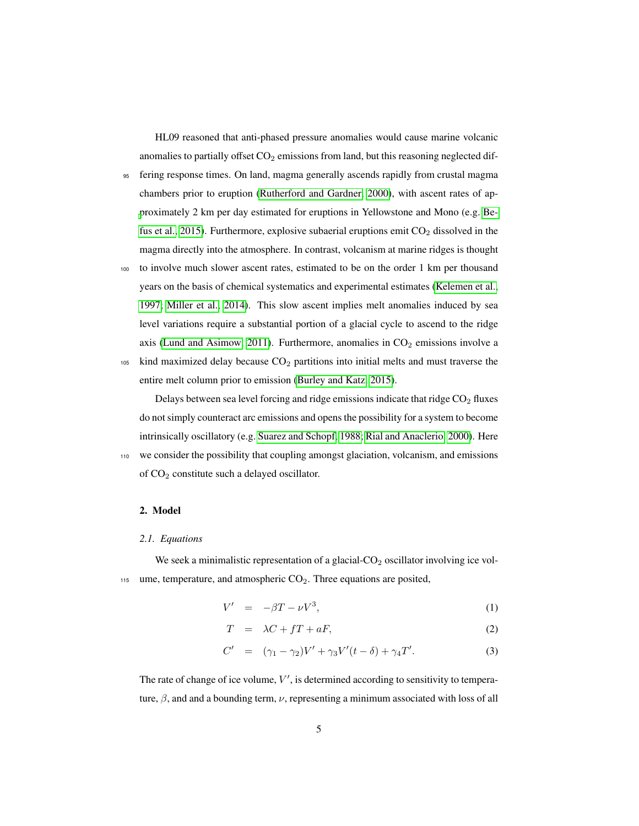HL09 reasoned that anti-phased pressure anomalies would cause marine volcanic anomalies to partially offset  $CO<sub>2</sub>$  emissions from land, but this reasoning neglected dif-

- <sup>95</sup> fering response times. On land, magma generally ascends rapidly from crustal magma chambers prior to eruption [\(Rutherford and Gardner, 2000\)](#page-29-3), with ascent rates of ap[p](#page-21-5)roximately 2 km per day estimated for eruptions in Yellowstone and Mono (e.g. [Be](#page-21-5)[fus et al., 2015\)](#page-21-5). Furthermore, explosive subaerial eruptions emit  $CO<sub>2</sub>$  dissolved in the magma directly into the atmosphere. In contrast, volcanism at marine ridges is thought
- <sup>100</sup> to involve much slower ascent rates, estimated to be on the order 1 km per thousand years on the basis of chemical systematics and experimental estimates [\(Kelemen et al.,](#page-24-2) [1997;](#page-24-2) [Miller et al., 2014\)](#page-26-6). This slow ascent implies melt anomalies induced by sea level variations require a substantial portion of a glacial cycle to ascend to the ridge axis [\(Lund and Asimow, 2011\)](#page-26-5). Furthermore, anomalies in  $CO<sub>2</sub>$  emissions involve a  $105$  kind maximized delay because  $CO<sub>2</sub>$  partitions into initial melts and must traverse the

entire melt column prior to emission [\(Burley and Katz, 2015\)](#page-21-6).

Delays between sea level forcing and ridge emissions indicate that ridge  $CO<sub>2</sub>$  fluxes do not simply counteract arc emissions and opens the possibility for a system to become intrinsically oscillatory (e.g. [Suarez and Schopf, 1988;](#page-29-4) [Rial and Anaclerio, 2000\)](#page-28-3). Here <sup>110</sup> we consider the possibility that coupling amongst glaciation, volcanism, and emissions of CO<sup>2</sup> constitute such a delayed oscillator.

# 2. Model

#### *2.1. Equations*

We seek a minimalistic representation of a glacial- $CO<sub>2</sub>$  oscillator involving ice vol- $115$  ume, temperature, and atmospheric CO<sub>2</sub>. Three equations are posited,

<span id="page-4-0"></span>
$$
V' = -\beta T - \nu V^3,\tag{1}
$$

$$
T = \lambda C + fT + aF,\tag{2}
$$

$$
C' = (\gamma_1 - \gamma_2)V' + \gamma_3 V'(t - \delta) + \gamma_4 T'. \tag{3}
$$

The rate of change of ice volume,  $V'$ , is determined according to sensitivity to temperature,  $\beta$ , and and a bounding term,  $\nu$ , representing a minimum associated with loss of all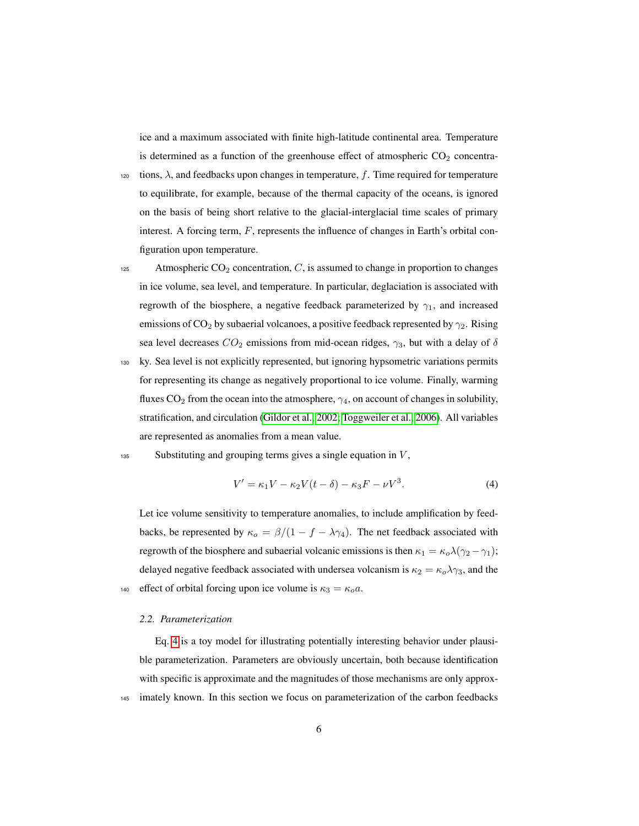ice and a maximum associated with finite high-latitude continental area. Temperature is determined as a function of the greenhouse effect of atmospheric  $CO<sub>2</sub>$  concentra-

120 tions,  $\lambda$ , and feedbacks upon changes in temperature, f. Time required for temperature to equilibrate, for example, because of the thermal capacity of the oceans, is ignored on the basis of being short relative to the glacial-interglacial time scales of primary interest. A forcing term,  $F$ , represents the influence of changes in Earth's orbital configuration upon temperature.

- 125 Atmospheric  $CO_2$  concentration,  $C$ , is assumed to change in proportion to changes in ice volume, sea level, and temperature. In particular, deglaciation is associated with regrowth of the biosphere, a negative feedback parameterized by  $\gamma_1$ , and increased emissions of  $\mathrm{CO}_2$  by subaerial volcanoes, a positive feedback represented by  $\gamma_2$ . Rising sea level decreases  $CO_2$  emissions from mid-ocean ridges,  $\gamma_3$ , but with a delay of  $\delta$
- <sup>130</sup> ky. Sea level is not explicitly represented, but ignoring hypsometric variations permits for representing its change as negatively proportional to ice volume. Finally, warming fluxes  $CO_2$  from the ocean into the atmosphere,  $\gamma_4$ , on account of changes in solubility, stratification, and circulation [\(Gildor et al., 2002;](#page-23-0) [Toggweiler et al., 2006\)](#page-30-0). All variables are represented as anomalies from a mean value.
- $135$  Substituting and grouping terms gives a single equation in  $V$ ,

<span id="page-5-0"></span>
$$
V' = \kappa_1 V - \kappa_2 V(t - \delta) - \kappa_3 F - \nu V^3.
$$
 (4)

Let ice volume sensitivity to temperature anomalies, to include amplification by feedbacks, be represented by  $\kappa_o = \frac{\beta}{(1 - f - \lambda \gamma_4)}$ . The net feedback associated with regrowth of the biosphere and subaerial volcanic emissions is then  $\kappa_1 = \kappa_o \lambda (\gamma_2 - \gamma_1)$ ; delayed negative feedback associated with undersea volcanism is  $\kappa_2 = \kappa_o \lambda_{\gamma_3}$ , and the 140 effect of orbital forcing upon ice volume is  $\kappa_3 = \kappa_0 a$ .

#### *2.2. Parameterization*

Eq. [4](#page-5-0) is a toy model for illustrating potentially interesting behavior under plausible parameterization. Parameters are obviously uncertain, both because identification with specific is approximate and the magnitudes of those mechanisms are only approx-<sup>145</sup> imately known. In this section we focus on parameterization of the carbon feedbacks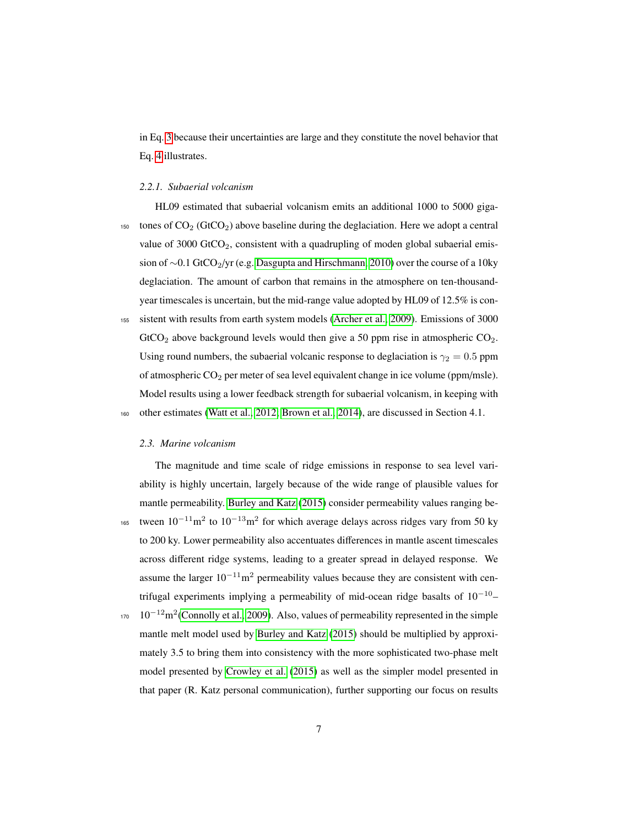in Eq. [3](#page-4-0) because their uncertainties are large and they constitute the novel behavior that Eq. [4](#page-5-0) illustrates.

#### *2.2.1. Subaerial volcanism*

HL09 estimated that subaerial volcanism emits an additional 1000 to 5000 giga-150 tones of  $CO<sub>2</sub>$  (GtCO<sub>2</sub>) above baseline during the deglaciation. Here we adopt a central value of 3000 GtCO<sub>2</sub>, consistent with a quadrupling of moden global subaerial emis-sion of ~0.1 GtCO2/yr (e.g. [Dasgupta and Hirschmann, 2010\)](#page-22-3) over the course of a 10ky deglaciation. The amount of carbon that remains in the atmosphere on ten-thousandyear timescales is uncertain, but the mid-range value adopted by HL09 of 12.5% is con-<sup>155</sup> sistent with results from earth system models [\(Archer et al., 2009\)](#page-20-4). Emissions of 3000  $GtCO<sub>2</sub>$  above background levels would then give a 50 ppm rise in atmospheric  $CO<sub>2</sub>$ . Using round numbers, the subaerial volcanic response to deglaciation is  $\gamma_2 = 0.5$  ppm of atmospheric CO<sub>2</sub> per meter of sea level equivalent change in ice volume (ppm/msle). Model results using a lower feedback strength for subaerial volcanism, in keeping with <sup>160</sup> other estimates [\(Watt et al., 2012;](#page-30-2) [Brown et al., 2014\)](#page-21-4), are discussed in Section 4.1.

#### *2.3. Marine volcanism*

The magnitude and time scale of ridge emissions in response to sea level variability is highly uncertain, largely because of the wide range of plausible values for mantle permeability. [Burley and Katz](#page-21-6) [\(2015\)](#page-21-6) consider permeability values ranging be-<sup>165</sup> tween  $10^{-11}$ m<sup>2</sup> to  $10^{-13}$ m<sup>2</sup> for which average delays across ridges vary from 50 ky to 200 ky. Lower permeability also accentuates differences in mantle ascent timescales across different ridge systems, leading to a greater spread in delayed response. We assume the larger  $10^{-11}$ m<sup>2</sup> permeability values because they are consistent with centrifugal experiments implying a permeability of mid-ocean ridge basalts of  $10^{-10}$ –  $10^{-12}$ m<sup>2</sup>[\(Connolly et al., 2009\)](#page-22-4). Also, values of permeability represented in the simple mantle melt model used by [Burley and Katz](#page-21-6) [\(2015\)](#page-21-6) should be multiplied by approximately 3.5 to bring them into consistency with the more sophisticated two-phase melt model presented by [Crowley et al.](#page-22-2) [\(2015\)](#page-22-2) as well as the simpler model presented in that paper (R. Katz personal communication), further supporting our focus on results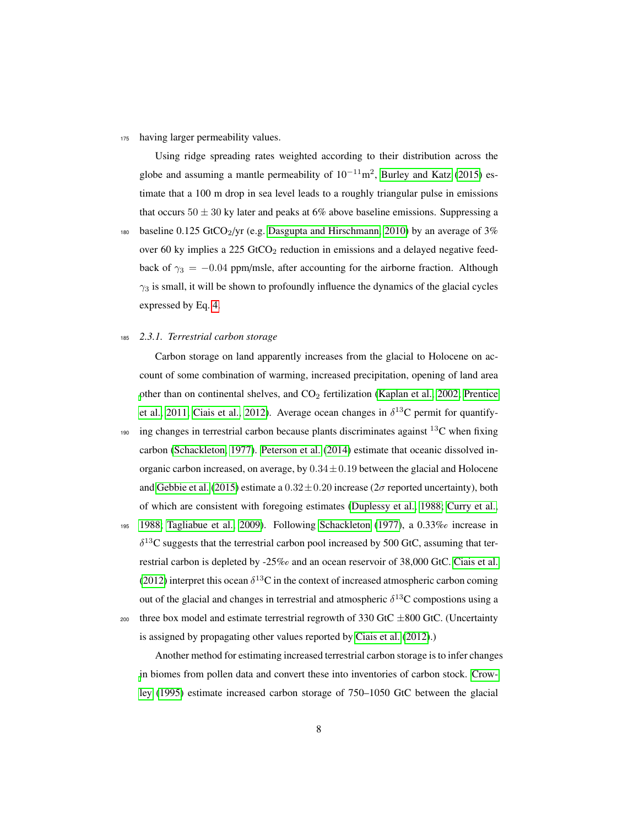<sup>175</sup> having larger permeability values.

Using ridge spreading rates weighted according to their distribution across the globe and assuming a mantle permeability of  $10^{-11}$ m<sup>2</sup>, [Burley and Katz](#page-21-6) [\(2015\)](#page-21-6) estimate that a 100 m drop in sea level leads to a roughly triangular pulse in emissions that occurs  $50 \pm 30$  ky later and peaks at 6% above baseline emissions. Suppressing a

180 baseline 0.125 GtCO<sub>2</sub>/yr (e.g. [Dasgupta and Hirschmann, 2010\)](#page-22-3) by an average of 3% over 60 ky implies a 225 GtCO<sub>2</sub> reduction in emissions and a delayed negative feedback of  $\gamma_3 = -0.04$  ppm/msle, after accounting for the airborne fraction. Although  $\gamma_3$  is small, it will be shown to profoundly influence the dynamics of the glacial cycles expressed by Eq. [4.](#page-5-0)

# <sup>185</sup> *2.3.1. Terrestrial carbon storage*

Carbon storage on land apparently increases from the glacial to Holocene on account of some combination of warming, increased precipitation, opening of land area [o](#page-28-4)ther than on continental shelves, and  $CO<sub>2</sub>$  fertilization [\(Kaplan et al., 2002;](#page-24-3) [Prentice](#page-28-4) [et al., 2011;](#page-28-4) [Ciais et al., 2012\)](#page-22-5). Average ocean changes in  $\delta^{13}$ C permit for quantify-

190 ing changes in terrestrial carbon because plants discriminates against  $^{13}$ C when fixing carbon [\(Schackleton, 1977\)](#page-29-5). [Peterson et al.](#page-27-2) [\(2014\)](#page-27-2) estimate that oceanic dissolved inorganic carbon increased, on average, by  $0.34 \pm 0.19$  between the glacial and Holocene and [Gebbie et al.](#page-23-2) [\(2015\)](#page-23-2) estimate a  $0.32 \pm 0.20$  increase ( $2\sigma$  reported uncertainty), both of which are consistent with foregoing estimates [\(Duplessy et al., 1988;](#page-23-3) [Curry et al.,](#page-22-6)

<sup>195</sup> [1988;](#page-22-6) [Tagliabue et al., 2009\)](#page-29-6). Following [Schackleton](#page-29-5) [\(1977\)](#page-29-5), a 0.33% increase in  $\delta^{13}$ C suggests that the terrestrial carbon pool increased by 500 GtC, assuming that terrestrial carbon is depleted by -25% and an ocean reservoir of 38,000 GtC. [Ciais et al.](#page-22-5) [\(2012\)](#page-22-5) interpret this ocean  $\delta^{13}$ C in the context of increased atmospheric carbon coming out of the glacial and changes in terrestrial and atmospheric  $\delta^{13}$ C compostions using a <sup>200</sup> three box model and estimate terrestrial regrowth of 330 GtC  $\pm 800$  GtC. (Uncertainty

is assigned by propagating other values reported by [Ciais et al.](#page-22-5) [\(2012\)](#page-22-5).)

Another method for estimating increased terrestrial carbon storage is to infer changes [i](#page-22-1)n biomes from pollen data and convert these into inventories of carbon stock. [Crow](#page-22-1)[ley](#page-22-1) [\(1995\)](#page-22-1) estimate increased carbon storage of 750–1050 GtC between the glacial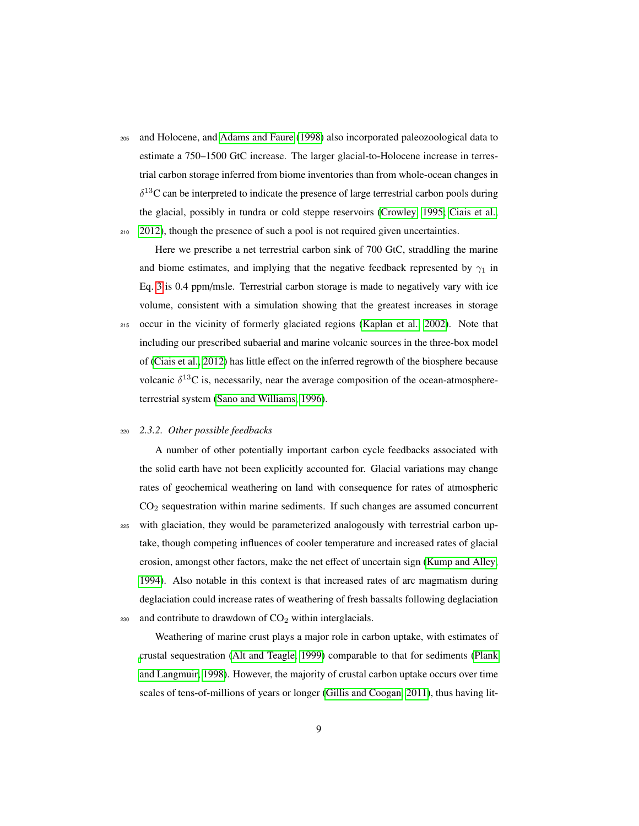<sup>205</sup> and Holocene, and [Adams and Faure](#page-20-5) [\(1998\)](#page-20-5) also incorporated paleozoological data to estimate a 750–1500 GtC increase. The larger glacial-to-Holocene increase in terrestrial carbon storage inferred from biome inventories than from whole-ocean changes in  $\delta^{13}$ C can be interpreted to indicate the presence of large terrestrial carbon pools during the glacial, possibly in tundra or cold steppe reservoirs [\(Crowley, 1995;](#page-22-1) [Ciais et al.,](#page-22-5) <sup>210</sup> [2012\)](#page-22-5), though the presence of such a pool is not required given uncertainties.

Here we prescribe a net terrestrial carbon sink of 700 GtC, straddling the marine and biome estimates, and implying that the negative feedback represented by  $\gamma_1$  in Eq. [3](#page-4-0) is 0.4 ppm/msle. Terrestrial carbon storage is made to negatively vary with ice volume, consistent with a simulation showing that the greatest increases in storage <sup>215</sup> occur in the vicinity of formerly glaciated regions [\(Kaplan et al., 2002\)](#page-24-3). Note that including our prescribed subaerial and marine volcanic sources in the three-box model of [\(Ciais et al., 2012\)](#page-22-5) has little effect on the inferred regrowth of the biosphere because

volcanic  $\delta^{13}$ C is, necessarily, near the average composition of the ocean-atmosphere-

# terrestrial system [\(Sano and Williams, 1996\)](#page-29-7).

#### <sup>220</sup> *2.3.2. Other possible feedbacks*

A number of other potentially important carbon cycle feedbacks associated with the solid earth have not been explicitly accounted for. Glacial variations may change rates of geochemical weathering on land with consequence for rates of atmospheric CO<sup>2</sup> sequestration within marine sediments. If such changes are assumed concurrent <sup>225</sup> with glaciation, they would be parameterized analogously with terrestrial carbon uptake, though competing influences of cooler temperature and increased rates of glacial erosion, amongst other factors, make the net effect of uncertain sign [\(Kump and Alley,](#page-25-5) [1994\)](#page-25-5). Also notable in this context is that increased rates of arc magmatism during deglaciation could increase rates of weathering of fresh bassalts following deglaciation  $230$  and contribute to drawdown of  $CO<sub>2</sub>$  within interglacials.

Weathering of marine crust plays a major role in carbon uptake, with estimates of [c](#page-27-5)rustal sequestration [\(Alt and Teagle, 1999\)](#page-20-6) comparable to that for sediments [\(Plank](#page-27-5) [and Langmuir, 1998\)](#page-27-5). However, the majority of crustal carbon uptake occurs over time scales of tens-of-millions of years or longer [\(Gillis and Coogan, 2011\)](#page-23-4), thus having lit-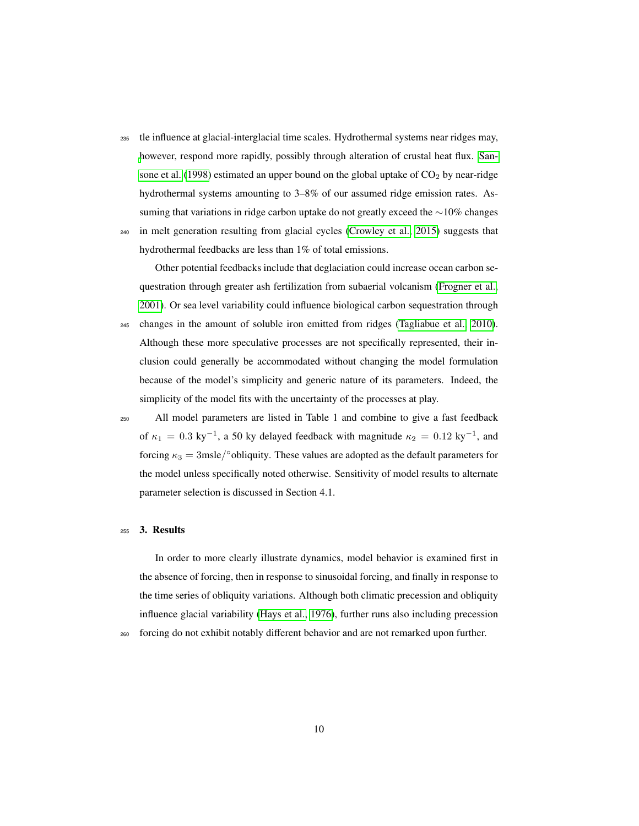- <sup>235</sup> tle influence at glacial-interglacial time scales. Hydrothermal systems near ridges may, [h](#page-29-8)owever, respond more rapidly, possibly through alteration of crustal heat flux. [San](#page-29-8)[sone et al.](#page-29-8) [\(1998\)](#page-29-8) estimated an upper bound on the global uptake of  $CO<sub>2</sub>$  by near-ridge hydrothermal systems amounting to 3–8% of our assumed ridge emission rates. Assuming that variations in ridge carbon uptake do not greatly exceed the ∼10% changes
- <sup>240</sup> in melt generation resulting from glacial cycles [\(Crowley et al., 2015\)](#page-22-2) suggests that hydrothermal feedbacks are less than 1% of total emissions.

Other potential feedbacks include that deglaciation could increase ocean carbon sequestration through greater ash fertilization from subaerial volcanism [\(Frogner et al.,](#page-23-5) [2001\)](#page-23-5). Or sea level variability could influence biological carbon sequestration through

- <sup>245</sup> changes in the amount of soluble iron emitted from ridges [\(Tagliabue et al., 2010\)](#page-29-9). Although these more speculative processes are not specifically represented, their inclusion could generally be accommodated without changing the model formulation because of the model's simplicity and generic nature of its parameters. Indeed, the simplicity of the model fits with the uncertainty of the processes at play.
- <sup>250</sup> All model parameters are listed in Table 1 and combine to give a fast feedback of  $\kappa_1 = 0.3 \text{ ky}^{-1}$ , a 50 ky delayed feedback with magnitude  $\kappa_2 = 0.12 \text{ ky}^{-1}$ , and forcing  $\kappa_3 = 3$ msle/ $\circ$ obliquity. These values are adopted as the default parameters for the model unless specifically noted otherwise. Sensitivity of model results to alternate parameter selection is discussed in Section 4.1.

#### <sup>255</sup> 3. Results

In order to more clearly illustrate dynamics, model behavior is examined first in the absence of forcing, then in response to sinusoidal forcing, and finally in response to the time series of obliquity variations. Although both climatic precession and obliquity influence glacial variability [\(Hays et al., 1976\)](#page-23-6), further runs also including precession <sup>260</sup> forcing do not exhibit notably different behavior and are not remarked upon further.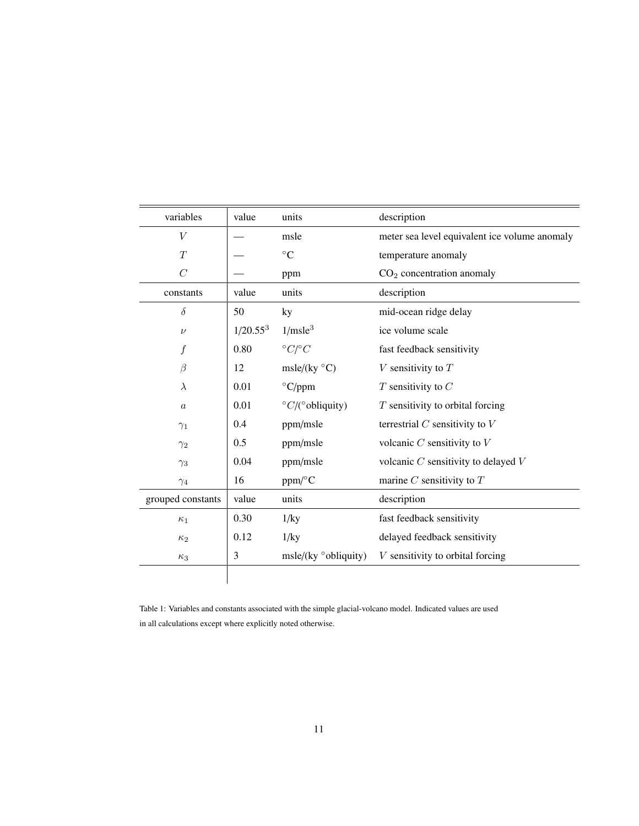| variables         | value                | units                               | description                                   |
|-------------------|----------------------|-------------------------------------|-----------------------------------------------|
| V                 |                      | msle                                | meter sea level equivalent ice volume anomaly |
| T                 |                      | $\rm ^{\circ}C$                     | temperature anomaly                           |
| $\overline{C}$    |                      | ppm                                 | $CO2$ concentration anomaly                   |
| constants         | value                | units                               | description                                   |
| $\delta$          | 50                   | ky                                  | mid-ocean ridge delay                         |
| $\nu$             | 1/20.55 <sup>3</sup> | 1/msle <sup>3</sup>                 | ice volume scale                              |
| $\boldsymbol{f}$  | 0.80                 | $\degree C / \degree C$             | fast feedback sensitivity                     |
| $\beta$           | 12                   | msle/(ky $\mathrm{^{\circ}C}$ )     | $V$ sensitivity to $T$                        |
| $\lambda$         | 0.01                 | $\rm ^{\circ}C/ppm$                 | $T$ sensitivity to $C$                        |
| $\boldsymbol{a}$  | 0.01                 | $\degree C$ /( $\degree$ obliquity) | $T$ sensitivity to orbital forcing            |
| $\gamma_1$        | 0.4                  | ppm/msle                            | terrestrial $C$ sensitivity to $V$            |
| $\gamma_2$        | 0.5                  | ppm/msle                            | volcanic $C$ sensitivity to $V$               |
| $\gamma_3$        | 0.04                 | ppm/msle                            | volcanic $C$ sensitivity to delayed $V$       |
| $\gamma_4$        | 16                   | $ppm$ /°C                           | marine $C$ sensitivity to $T$                 |
| grouped constants | value                | units                               | description                                   |
| $\kappa_1$        | 0.30                 | $1$ /ky                             | fast feedback sensitivity                     |
| $\kappa_2$        | 0.12                 | $1$ /ky                             | delayed feedback sensitivity                  |
| $\kappa_3$        | 3                    | $msle/(ky \degree obliquity)$       | $V$ sensitivity to orbital forcing            |
|                   |                      |                                     |                                               |

Table 1: Variables and constants associated with the simple glacial-volcano model. Indicated values are used in all calculations except where explicitly noted otherwise.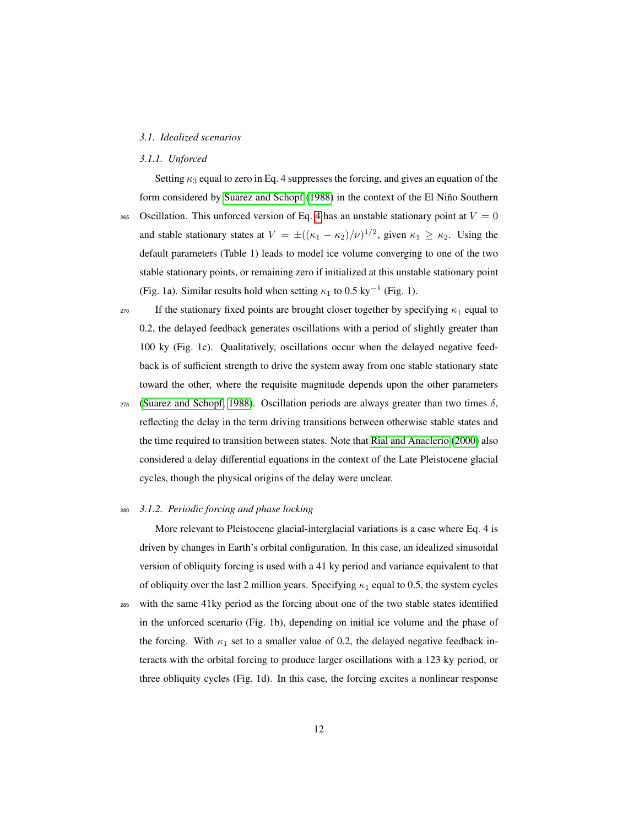#### *3.1. Idealized scenarios*

# *3.1.1. Unforced*

Setting  $\kappa_3$  equal to zero in Eq. 4 suppresses the forcing, and gives an equation of the form considered by [Suarez and Schopf](#page-29-4) [\(1988\)](#page-29-4) in the context of the El Niño Southern

- 265 Oscillation. This unforced version of Eq. [4](#page-5-0) has an unstable stationary point at  $V = 0$ and stable stationary states at  $V = \pm ((\kappa_1 - \kappa_2)/\nu)^{1/2}$ , given  $\kappa_1 \ge \kappa_2$ . Using the default parameters (Table 1) leads to model ice volume converging to one of the two stable stationary points, or remaining zero if initialized at this unstable stationary point (Fig. 1a). Similar results hold when setting  $\kappa_1$  to 0.5 ky<sup>-1</sup> (Fig. 1).
- <sup>270</sup> If the stationary fixed points are brought closer together by specifying  $κ_1$  equal to 0.2, the delayed feedback generates oscillations with a period of slightly greater than 100 ky (Fig. 1c). Qualitatively, oscillations occur when the delayed negative feedback is of sufficient strength to drive the system away from one stable stationary state toward the other, where the requisite magnitude depends upon the other parameters
- $275$  [\(Suarez and Schopf, 1988\)](#page-29-4). Oscillation periods are always greater than two times δ, reflecting the delay in the term driving transitions between otherwise stable states and the time required to transition between states. Note that [Rial and Anaclerio](#page-28-3) [\(2000\)](#page-28-3) also considered a delay differential equations in the context of the Late Pleistocene glacial cycles, though the physical origins of the delay were unclear.

# <sup>280</sup> *3.1.2. Periodic forcing and phase locking*

More relevant to Pleistocene glacial-interglacial variations is a case where Eq. 4 is driven by changes in Earth's orbital configuration. In this case, an idealized sinusoidal version of obliquity forcing is used with a 41 ky period and variance equivalent to that of obliquity over the last 2 million years. Specifying  $\kappa_1$  equal to 0.5, the system cycles <sup>285</sup> with the same 41ky period as the forcing about one of the two stable states identified in the unforced scenario (Fig. 1b), depending on initial ice volume and the phase of the forcing. With  $\kappa_1$  set to a smaller value of 0.2, the delayed negative feedback interacts with the orbital forcing to produce larger oscillations with a 123 ky period, or three obliquity cycles (Fig. 1d). In this case, the forcing excites a nonlinear response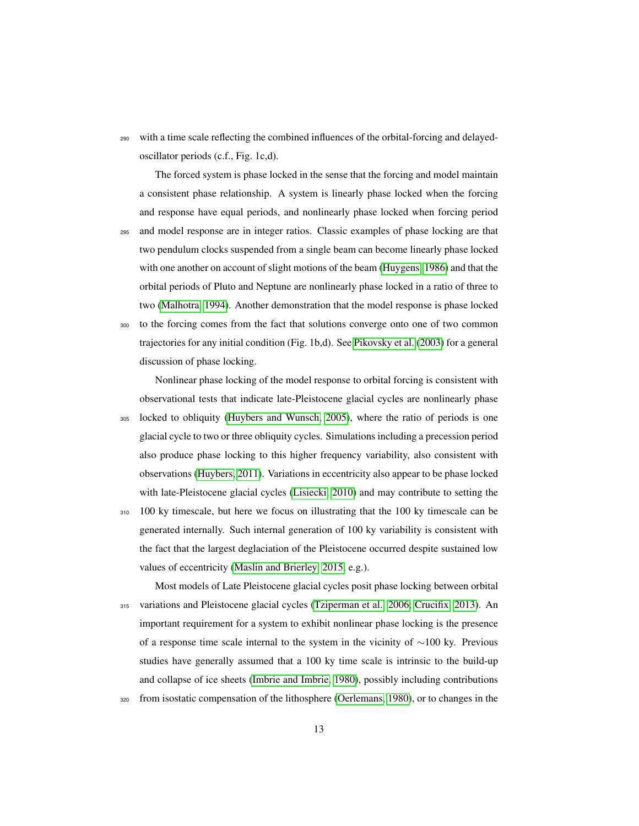<sup>290</sup> with a time scale reflecting the combined influences of the orbital-forcing and delayedoscillator periods (c.f., Fig. 1c,d).

The forced system is phase locked in the sense that the forcing and model maintain a consistent phase relationship. A system is linearly phase locked when the forcing and response have equal periods, and nonlinearly phase locked when forcing period <sup>295</sup> and model response are in integer ratios. Classic examples of phase locking are that two pendulum clocks suspended from a single beam can become linearly phase locked with one another on account of slight motions of the beam [\(Huygens, 1986\)](#page-24-4) and that the orbital periods of Pluto and Neptune are nonlinearly phase locked in a ratio of three to two [\(Malhotra, 1994\)](#page-26-7). Another demonstration that the model response is phase locked <sup>300</sup> to the forcing comes from the fact that solutions converge onto one of two common

trajectories for any initial condition (Fig. 1b,d). See [Pikovsky et al.](#page-27-6) [\(2003\)](#page-27-6) for a general discussion of phase locking.

Nonlinear phase locking of the model response to orbital forcing is consistent with observational tests that indicate late-Pleistocene glacial cycles are nonlinearly phase <sup>305</sup> locked to obliquity [\(Huybers and Wunsch, 2005\)](#page-24-5), where the ratio of periods is one glacial cycle to two or three obliquity cycles. Simulations including a precession period also produce phase locking to this higher frequency variability, also consistent with observations [\(Huybers, 2011\)](#page-24-6). Variations in eccentricity also appear to be phase locked with late-Pleistocene glacial cycles [\(Lisiecki, 2010\)](#page-25-6) and may contribute to setting the

310 100 ky timescale, but here we focus on illustrating that the 100 ky timescale can be generated internally. Such internal generation of 100 ky variability is consistent with the fact that the largest deglaciation of the Pleistocene occurred despite sustained low values of eccentricity [\(Maslin and Brierley, 2015,](#page-26-8) e.g.).

Most models of Late Pleistocene glacial cycles posit phase locking between orbital <sup>315</sup> variations and Pleistocene glacial cycles [\(Tziperman et al., 2006;](#page-30-4) [Crucifix, 2013\)](#page-22-7). An important requirement for a system to exhibit nonlinear phase locking is the presence of a response time scale internal to the system in the vicinity of ∼100 ky. Previous studies have generally assumed that a 100 ky time scale is intrinsic to the build-up and collapse of ice sheets [\(Imbrie and Imbrie, 1980\)](#page-24-7), possibly including contributions

<sup>320</sup> from isostatic compensation of the lithosphere [\(Oerlemans, 1980\)](#page-27-7), or to changes in the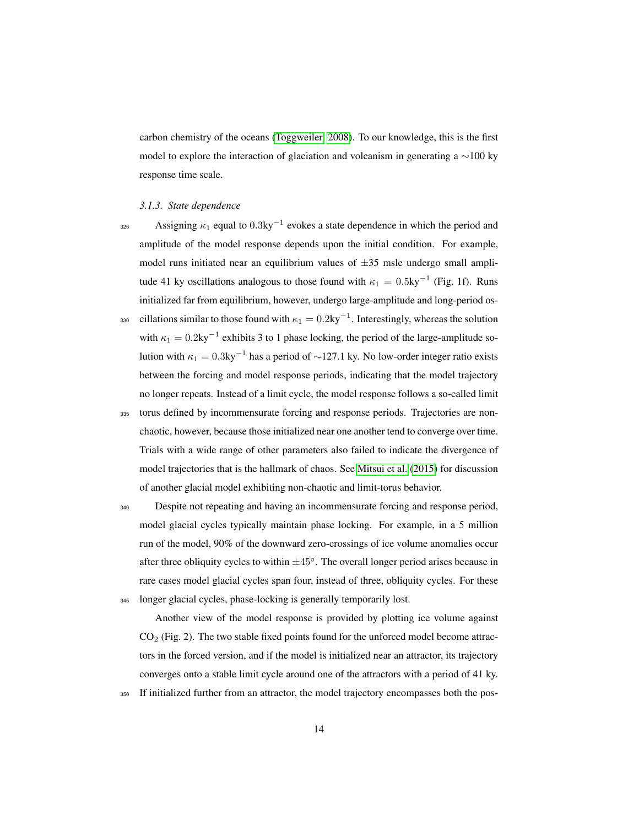carbon chemistry of the oceans [\(Toggweiler, 2008\)](#page-30-5). To our knowledge, this is the first model to explore the interaction of glaciation and volcanism in generating a ∼100 ky response time scale.

#### *3.1.3. State dependence*

- Assigning  $\kappa_1$  equal to 0.3ky<sup>-1</sup> evokes a state dependence in which the period and amplitude of the model response depends upon the initial condition. For example, model runs initiated near an equilibrium values of  $\pm 35$  msle undergo small amplitude 41 ky oscillations analogous to those found with  $\kappa_1 = 0.5 \text{ky}^{-1}$  (Fig. 1f). Runs initialized far from equilibrium, however, undergo large-amplitude and long-period os-330 cillations similar to those found with  $\kappa_1 = 0.2 \text{ky}^{-1}$ . Interestingly, whereas the solution with  $\kappa_1 = 0.2 \text{ky}^{-1}$  exhibits 3 to 1 phase locking, the period of the large-amplitude solution with  $\kappa_1 = 0.3 \text{ky}^{-1}$  has a period of ~127.1 ky. No low-order integer ratio exists between the forcing and model response periods, indicating that the model trajectory no longer repeats. Instead of a limit cycle, the model response follows a so-called limit
- <sup>335</sup> torus defined by incommensurate forcing and response periods. Trajectories are nonchaotic, however, because those initialized near one another tend to converge over time. Trials with a wide range of other parameters also failed to indicate the divergence of model trajectories that is the hallmark of chaos. See [Mitsui et al.](#page-27-8) [\(2015\)](#page-27-8) for discussion of another glacial model exhibiting non-chaotic and limit-torus behavior.

<sup>340</sup> Despite not repeating and having an incommensurate forcing and response period, model glacial cycles typically maintain phase locking. For example, in a 5 million run of the model, 90% of the downward zero-crossings of ice volume anomalies occur after three obliquity cycles to within  $\pm 45^{\circ}$ . The overall longer period arises because in rare cases model glacial cycles span four, instead of three, obliquity cycles. For these <sup>345</sup> longer glacial cycles, phase-locking is generally temporarily lost.

Another view of the model response is provided by plotting ice volume against  $CO<sub>2</sub>$  (Fig. 2). The two stable fixed points found for the unforced model become attractors in the forced version, and if the model is initialized near an attractor, its trajectory converges onto a stable limit cycle around one of the attractors with a period of 41 ky.

<sup>350</sup> If initialized further from an attractor, the model trajectory encompasses both the pos-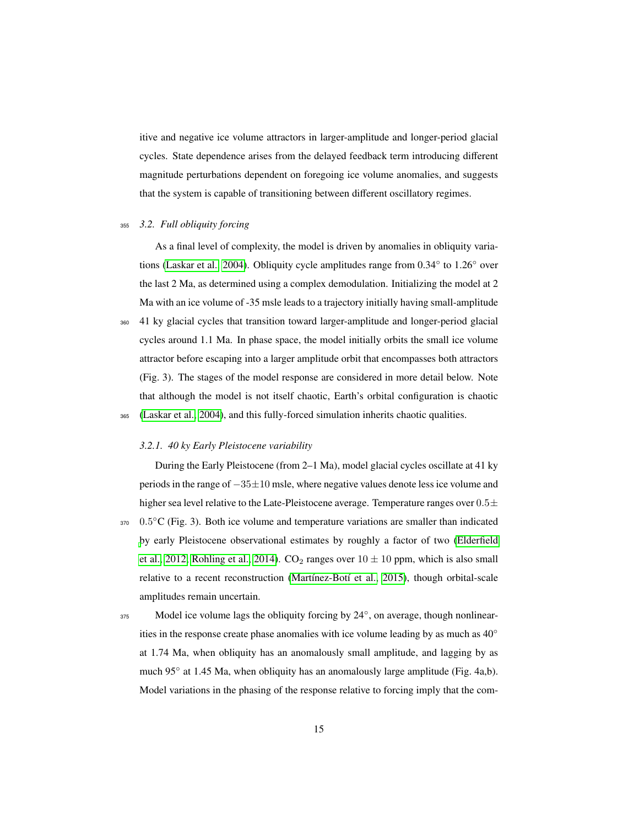itive and negative ice volume attractors in larger-amplitude and longer-period glacial cycles. State dependence arises from the delayed feedback term introducing different magnitude perturbations dependent on foregoing ice volume anomalies, and suggests that the system is capable of transitioning between different oscillatory regimes.

#### <sup>355</sup> *3.2. Full obliquity forcing*

As a final level of complexity, the model is driven by anomalies in obliquity variations [\(Laskar et al., 2004\)](#page-25-7). Obliquity cycle amplitudes range from 0.34◦ to 1.26◦ over the last 2 Ma, as determined using a complex demodulation. Initializing the model at 2 Ma with an ice volume of -35 msle leads to a trajectory initially having small-amplitude <sup>360</sup> 41 ky glacial cycles that transition toward larger-amplitude and longer-period glacial

cycles around 1.1 Ma. In phase space, the model initially orbits the small ice volume attractor before escaping into a larger amplitude orbit that encompasses both attractors (Fig. 3). The stages of the model response are considered in more detail below. Note that although the model is not itself chaotic, Earth's orbital configuration is chaotic <sup>365</sup> [\(Laskar et al., 2004\)](#page-25-7), and this fully-forced simulation inherits chaotic qualities.

# *3.2.1. 40 ky Early Pleistocene variability*

During the Early Pleistocene (from 2–1 Ma), model glacial cycles oscillate at 41 ky periods in the range of −35±10 msle, where negative values denote less ice volume and higher sea level relative to the Late-Pleistocene average. Temperature ranges over  $0.5\pm$ 370 0.5°C (Fig. 3). Both ice volume and temperature variations are smaller than indicated [b](#page-23-7)y early Pleistocene observational estimates by roughly a factor of two [\(Elderfield](#page-23-7) [et al., 2012;](#page-23-7) [Rohling et al., 2014\)](#page-28-5).  $CO_2$  ranges over  $10 \pm 10$  ppm, which is also small relative to a recent reconstruction [\(Martínez-Botí et al., 2015\)](#page-26-9), though orbital-scale amplitudes remain uncertain.

375 Model ice volume lags the obliquity forcing by 24°, on average, though nonlinearities in the response create phase anomalies with ice volume leading by as much as 40◦ at 1.74 Ma, when obliquity has an anomalously small amplitude, and lagging by as much 95° at 1.45 Ma, when obliquity has an anomalously large amplitude (Fig. 4a,b). Model variations in the phasing of the response relative to forcing imply that the com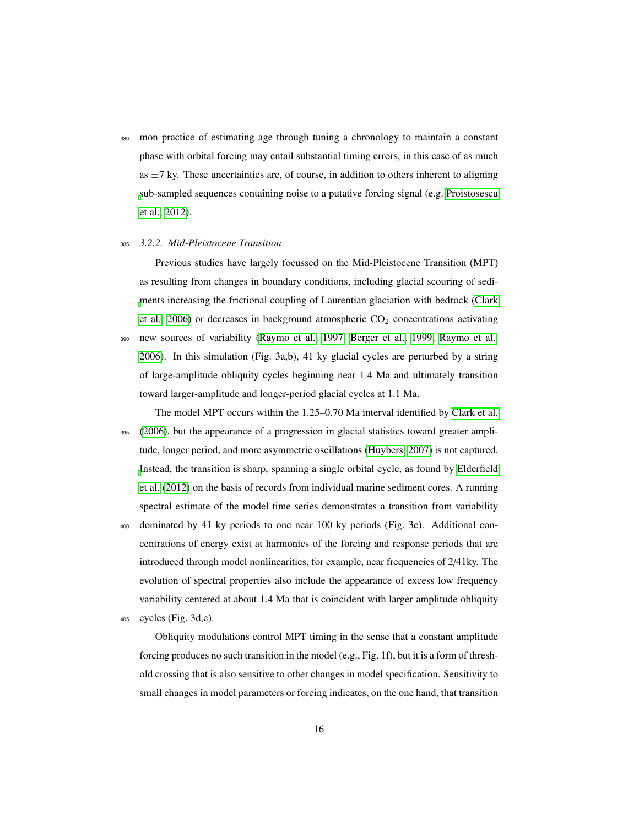<sup>380</sup> mon practice of estimating age through tuning a chronology to maintain a constant phase with orbital forcing may entail substantial timing errors, in this case of as much as  $\pm$ 7 ky. These uncertainties are, of course, in addition to others inherent to aligning [s](#page-28-6)ub-sampled sequences containing noise to a putative forcing signal (e.g. [Proistosescu](#page-28-6) [et al., 2012\)](#page-28-6).

#### <sup>385</sup> *3.2.2. Mid-Pleistocene Transition*

Previous studies have largely focussed on the Mid-Pleistocene Transition (MPT) as resulting from changes in boundary conditions, including glacial scouring of sedi[m](#page-22-8)ents increasing the frictional coupling of Laurentian glaciation with bedrock [\(Clark](#page-22-8) [et al., 2006\)](#page-22-8) or decreases in background atmospheric  $CO<sub>2</sub>$  concentrations activating <sup>390</sup> new sources of variability [\(Raymo et al., 1997;](#page-28-7) [Berger et al., 1999;](#page-21-7) [Raymo et al.,](#page-28-8) [2006\)](#page-28-8). In this simulation (Fig. 3a,b), 41 ky glacial cycles are perturbed by a string of large-amplitude obliquity cycles beginning near 1.4 Ma and ultimately transition toward larger-amplitude and longer-period glacial cycles at 1.1 Ma.

The model MPT occurs within the 1.25–0.70 Ma interval identified by [Clark et al.](#page-22-8) <sup>395</sup> [\(2006\)](#page-22-8), but the appearance of a progression in glacial statistics toward greater amplitude, longer period, and more asymmetric oscillations [\(Huybers, 2007\)](#page-23-8) is not captured. [I](#page-23-7)nstead, the transition is sharp, spanning a single orbital cycle, as found by [Elderfield](#page-23-7) [et al.](#page-23-7) [\(2012\)](#page-23-7) on the basis of records from individual marine sediment cores. A running spectral estimate of the model time series demonstrates a transition from variability

<sup>400</sup> dominated by 41 ky periods to one near 100 ky periods (Fig. 3c). Additional concentrations of energy exist at harmonics of the forcing and response periods that are introduced through model nonlinearities, for example, near frequencies of 2/41ky. The evolution of spectral properties also include the appearance of excess low frequency variability centered at about 1.4 Ma that is coincident with larger amplitude obliquity <sup>405</sup> cycles (Fig. 3d,e).

Obliquity modulations control MPT timing in the sense that a constant amplitude forcing produces no such transition in the model (e.g., Fig. 1f), but it is a form of threshold crossing that is also sensitive to other changes in model specification. Sensitivity to small changes in model parameters or forcing indicates, on the one hand, that transition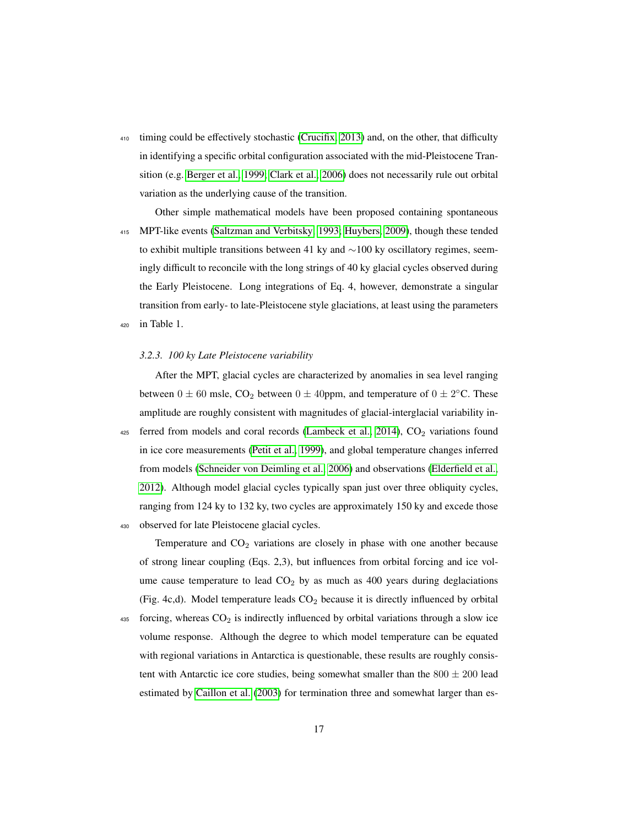<sup>410</sup> timing could be effectively stochastic [\(Crucifix, 2013\)](#page-22-7) and, on the other, that difficulty in identifying a specific orbital configuration associated with the mid-Pleistocene Transition (e.g. [Berger et al., 1999;](#page-21-7) [Clark et al., 2006\)](#page-22-8) does not necessarily rule out orbital variation as the underlying cause of the transition.

Other simple mathematical models have been proposed containing spontaneous <sup>415</sup> MPT-like events [\(Saltzman and Verbitsky, 1993;](#page-29-10) [Huybers, 2009\)](#page-24-8), though these tended to exhibit multiple transitions between 41 ky and ∼100 ky oscillatory regimes, seemingly difficult to reconcile with the long strings of 40 ky glacial cycles observed during the Early Pleistocene. Long integrations of Eq. 4, however, demonstrate a singular transition from early- to late-Pleistocene style glaciations, at least using the parameters <sup>420</sup> in Table 1.

# *3.2.3. 100 ky Late Pleistocene variability*

After the MPT, glacial cycles are characterized by anomalies in sea level ranging between  $0 \pm 60$  msle,  $CO_2$  between  $0 \pm 40$ ppm, and temperature of  $0 \pm 2$ °C. These amplitude are roughly consistent with magnitudes of glacial-interglacial variability in- $425$  ferred from models and coral records [\(Lambeck et al., 2014\)](#page-25-8),  $CO<sub>2</sub>$  variations found in ice core measurements [\(Petit et al., 1999\)](#page-27-9), and global temperature changes inferred from models [\(Schneider von Deimling et al., 2006\)](#page-22-9) and observations [\(Elderfield et al.,](#page-23-7) [2012\)](#page-23-7). Although model glacial cycles typically span just over three obliquity cycles, ranging from 124 ky to 132 ky, two cycles are approximately 150 ky and excede those <sup>430</sup> observed for late Pleistocene glacial cycles.

Temperature and  $CO<sub>2</sub>$  variations are closely in phase with one another because of strong linear coupling (Eqs. 2,3), but influences from orbital forcing and ice volume cause temperature to lead  $CO<sub>2</sub>$  by as much as 400 years during deglaciations (Fig. 4c,d). Model temperature leads  $CO<sub>2</sub>$  because it is directly influenced by orbital

 $435$  forcing, whereas  $CO<sub>2</sub>$  is indirectly influenced by orbital variations through a slow ice volume response. Although the degree to which model temperature can be equated with regional variations in Antarctica is questionable, these results are roughly consistent with Antarctic ice core studies, being somewhat smaller than the  $800 \pm 200$  lead estimated by [Caillon et al.](#page-21-8) [\(2003\)](#page-21-8) for termination three and somewhat larger than es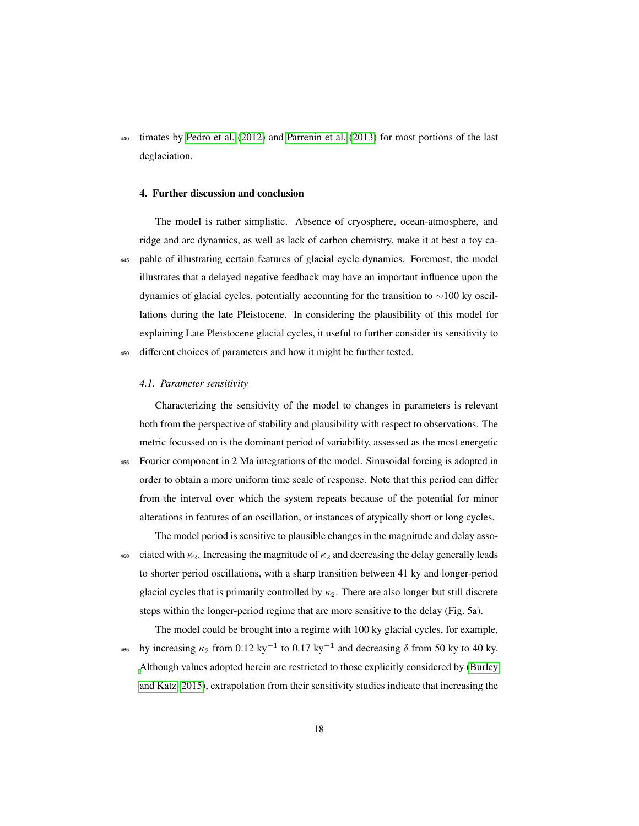<sup>440</sup> timates by [Pedro et al.](#page-27-0) [\(2012\)](#page-27-0) and [Parrenin et al.](#page-27-1) [\(2013\)](#page-27-1) for most portions of the last deglaciation.

#### 4. Further discussion and conclusion

The model is rather simplistic. Absence of cryosphere, ocean-atmosphere, and ridge and arc dynamics, as well as lack of carbon chemistry, make it at best a toy ca-<sup>445</sup> pable of illustrating certain features of glacial cycle dynamics. Foremost, the model illustrates that a delayed negative feedback may have an important influence upon the dynamics of glacial cycles, potentially accounting for the transition to ∼100 ky oscillations during the late Pleistocene. In considering the plausibility of this model for explaining Late Pleistocene glacial cycles, it useful to further consider its sensitivity to <sup>450</sup> different choices of parameters and how it might be further tested.

# *4.1. Parameter sensitivity*

Characterizing the sensitivity of the model to changes in parameters is relevant both from the perspective of stability and plausibility with respect to observations. The metric focussed on is the dominant period of variability, assessed as the most energetic <sup>455</sup> Fourier component in 2 Ma integrations of the model. Sinusoidal forcing is adopted in order to obtain a more uniform time scale of response. Note that this period can differ from the interval over which the system repeats because of the potential for minor alterations in features of an oscillation, or instances of atypically short or long cycles.

The model period is sensitive to plausible changes in the magnitude and delay asso-460 ciated with  $\kappa_2$ . Increasing the magnitude of  $\kappa_2$  and decreasing the delay generally leads to shorter period oscillations, with a sharp transition between 41 ky and longer-period glacial cycles that is primarily controlled by  $\kappa_2$ . There are also longer but still discrete steps within the longer-period regime that are more sensitive to the delay (Fig. 5a).

The model could be brought into a regime with 100 ky glacial cycles, for example, <sup>465</sup> by increasing  $\kappa_2$  from 0.12 ky<sup>-1</sup> to 0.17 ky<sup>-1</sup> and decreasing δ from 50 ky to 40 ky. [A](#page-21-6)lthough values adopted herein are restricted to those explicitly considered by [\(Burley](#page-21-6) [and Katz, 2015\)](#page-21-6), extrapolation from their sensitivity studies indicate that increasing the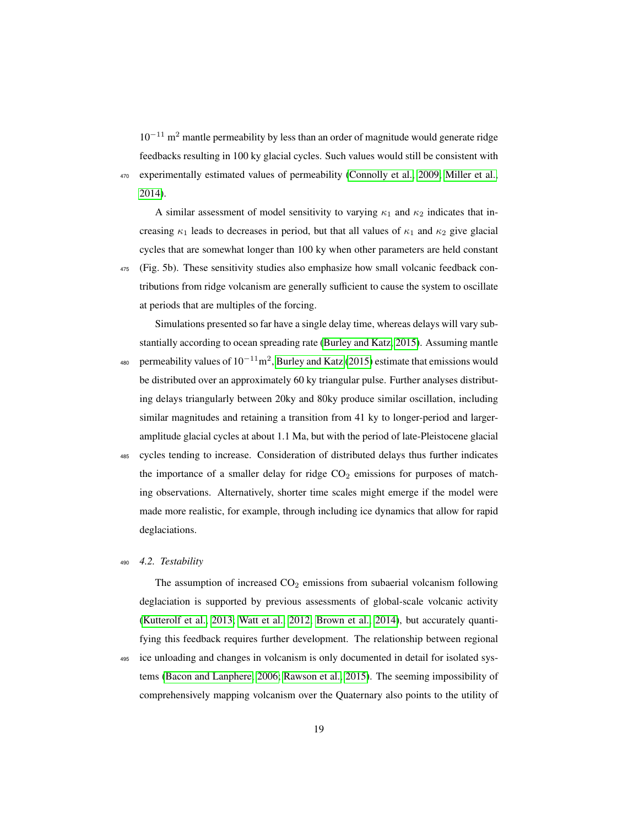10−<sup>11</sup> m<sup>2</sup> mantle permeability by less than an order of magnitude would generate ridge feedbacks resulting in 100 ky glacial cycles. Such values would still be consistent with <sup>470</sup> experimentally estimated values of permeability [\(Connolly et al., 2009;](#page-22-4) [Miller et al.,](#page-26-6) [2014\)](#page-26-6).

A similar assessment of model sensitivity to varying  $\kappa_1$  and  $\kappa_2$  indicates that increasing  $\kappa_1$  leads to decreases in period, but that all values of  $\kappa_1$  and  $\kappa_2$  give glacial cycles that are somewhat longer than 100 ky when other parameters are held constant <sup>475</sup> (Fig. 5b). These sensitivity studies also emphasize how small volcanic feedback contributions from ridge volcanism are generally sufficient to cause the system to oscillate

at periods that are multiples of the forcing. Simulations presented so far have a single delay time, whereas delays will vary substantially according to ocean spreading rate [\(Burley and Katz, 2015\)](#page-21-6). Assuming mantle 480 permeability values of  $10^{-11}$ m<sup>2</sup>, [Burley and Katz](#page-21-6) [\(2015\)](#page-21-6) estimate that emissions would be distributed over an approximately 60 ky triangular pulse. Further analyses distributing delays triangularly between 20ky and 80ky produce similar oscillation, including similar magnitudes and retaining a transition from 41 ky to longer-period and largeramplitude glacial cycles at about 1.1 Ma, but with the period of late-Pleistocene glacial

<sup>485</sup> cycles tending to increase. Consideration of distributed delays thus further indicates the importance of a smaller delay for ridge  $CO<sub>2</sub>$  emissions for purposes of matching observations. Alternatively, shorter time scales might emerge if the model were made more realistic, for example, through including ice dynamics that allow for rapid deglaciations.

# <sup>490</sup> *4.2. Testability*

The assumption of increased  $CO<sub>2</sub>$  emissions from subaerial volcanism following deglaciation is supported by previous assessments of global-scale volcanic activity [\(Kutterolf et al., 2013;](#page-25-3) [Watt et al., 2012;](#page-30-2) [Brown et al., 2014\)](#page-21-4), but accurately quantifying this feedback requires further development. The relationship between regional <sup>495</sup> ice unloading and changes in volcanism is only documented in detail for isolated systems [\(Bacon and Lanphere, 2006;](#page-20-3) [Rawson et al., 2015\)](#page-28-9). The seeming impossibility of comprehensively mapping volcanism over the Quaternary also points to the utility of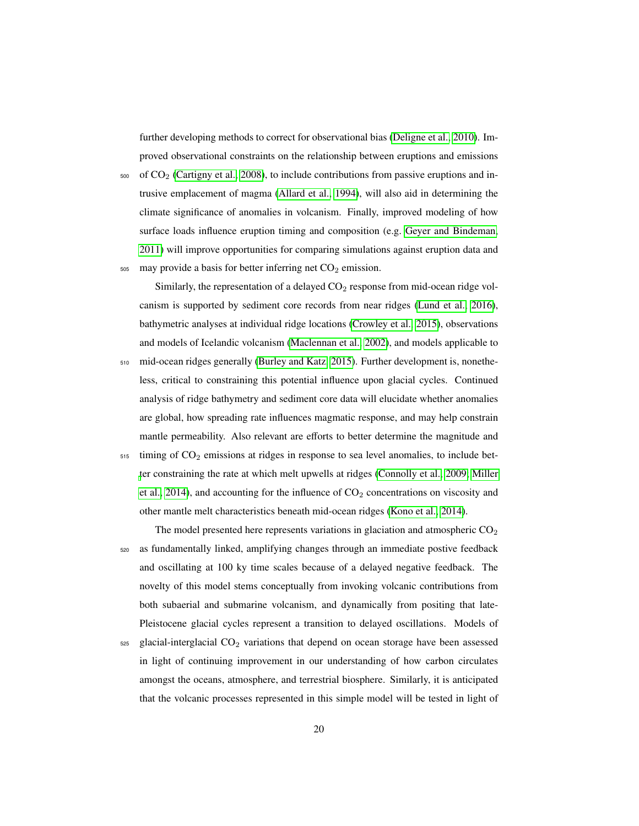further developing methods to correct for observational bias [\(Deligne et al., 2010\)](#page-22-10). Improved observational constraints on the relationship between eruptions and emissions

 $500$  of  $CO<sub>2</sub>$  [\(Cartigny et al., 2008\)](#page-21-9), to include contributions from passive eruptions and intrusive emplacement of magma [\(Allard et al., 1994\)](#page-20-7), will also aid in determining the climate significance of anomalies in volcanism. Finally, improved modeling of how surface loads influence eruption timing and composition (e.g. [Geyer and Bindeman,](#page-23-9) [2011\)](#page-23-9) will improve opportunities for comparing simulations against eruption data and  $505$  may provide a basis for better inferring net  $CO<sub>2</sub>$  emission.

Similarly, the representation of a delayed  $CO<sub>2</sub>$  response from mid-ocean ridge volcanism is supported by sediment core records from near ridges [\(Lund et al., 2016\)](#page-25-4), bathymetric analyses at individual ridge locations [\(Crowley et al., 2015\)](#page-22-2), observations and models of Icelandic volcanism [\(Maclennan et al., 2002\)](#page-26-4), and models applicable to

- <sup>510</sup> mid-ocean ridges generally [\(Burley and Katz, 2015\)](#page-21-6). Further development is, nonetheless, critical to constraining this potential influence upon glacial cycles. Continued analysis of ridge bathymetry and sediment core data will elucidate whether anomalies are global, how spreading rate influences magmatic response, and may help constrain mantle permeability. Also relevant are efforts to better determine the magnitude and
- $515$  timing of  $CO<sub>2</sub>$  emissions at ridges in response to sea level anomalies, to include bet[t](#page-26-6)er constraining the rate at which melt upwells at ridges [\(Connolly et al., 2009;](#page-22-4) [Miller](#page-26-6) [et al., 2014\)](#page-26-6), and accounting for the influence of  $CO<sub>2</sub>$  concentrations on viscosity and other mantle melt characteristics beneath mid-ocean ridges [\(Kono et al., 2014\)](#page-25-9).

The model presented here represents variations in glaciation and atmospheric  $CO<sub>2</sub>$ <sup>520</sup> as fundamentally linked, amplifying changes through an immediate postive feedback and oscillating at 100 ky time scales because of a delayed negative feedback. The novelty of this model stems conceptually from invoking volcanic contributions from both subaerial and submarine volcanism, and dynamically from positing that late-Pleistocene glacial cycles represent a transition to delayed oscillations. Models of

 $525$  glacial-interglacial  $CO<sub>2</sub>$  variations that depend on ocean storage have been assessed in light of continuing improvement in our understanding of how carbon circulates amongst the oceans, atmosphere, and terrestrial biosphere. Similarly, it is anticipated that the volcanic processes represented in this simple model will be tested in light of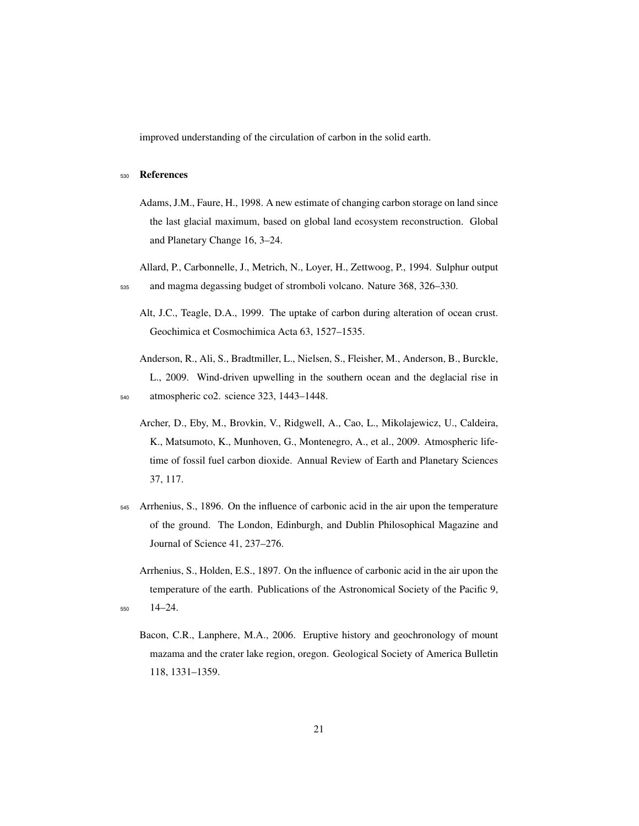improved understanding of the circulation of carbon in the solid earth.

#### <span id="page-20-5"></span><sup>530</sup> References

- Adams, J.M., Faure, H., 1998. A new estimate of changing carbon storage on land since the last glacial maximum, based on global land ecosystem reconstruction. Global and Planetary Change 16, 3–24.
- <span id="page-20-7"></span><span id="page-20-6"></span>Allard, P., Carbonnelle, J., Metrich, N., Loyer, H., Zettwoog, P., 1994. Sulphur output <sup>535</sup> and magma degassing budget of stromboli volcano. Nature 368, 326–330.
	- Alt, J.C., Teagle, D.A., 1999. The uptake of carbon during alteration of ocean crust. Geochimica et Cosmochimica Acta 63, 1527–1535.
- <span id="page-20-4"></span><span id="page-20-0"></span>Anderson, R., Ali, S., Bradtmiller, L., Nielsen, S., Fleisher, M., Anderson, B., Burckle, L., 2009. Wind-driven upwelling in the southern ocean and the deglacial rise in <sup>540</sup> atmospheric co2. science 323, 1443–1448.
	-
	- Archer, D., Eby, M., Brovkin, V., Ridgwell, A., Cao, L., Mikolajewicz, U., Caldeira, K., Matsumoto, K., Munhoven, G., Montenegro, A., et al., 2009. Atmospheric lifetime of fossil fuel carbon dioxide. Annual Review of Earth and Planetary Sciences 37, 117.
- <span id="page-20-2"></span><sup>545</sup> Arrhenius, S., 1896. On the influence of carbonic acid in the air upon the temperature of the ground. The London, Edinburgh, and Dublin Philosophical Magazine and Journal of Science 41, 237–276.
- <span id="page-20-3"></span><span id="page-20-1"></span>Arrhenius, S., Holden, E.S., 1897. On the influence of carbonic acid in the air upon the temperature of the earth. Publications of the Astronomical Society of the Pacific 9, <sup>550</sup> 14–24.
	- Bacon, C.R., Lanphere, M.A., 2006. Eruptive history and geochronology of mount mazama and the crater lake region, oregon. Geological Society of America Bulletin 118, 1331–1359.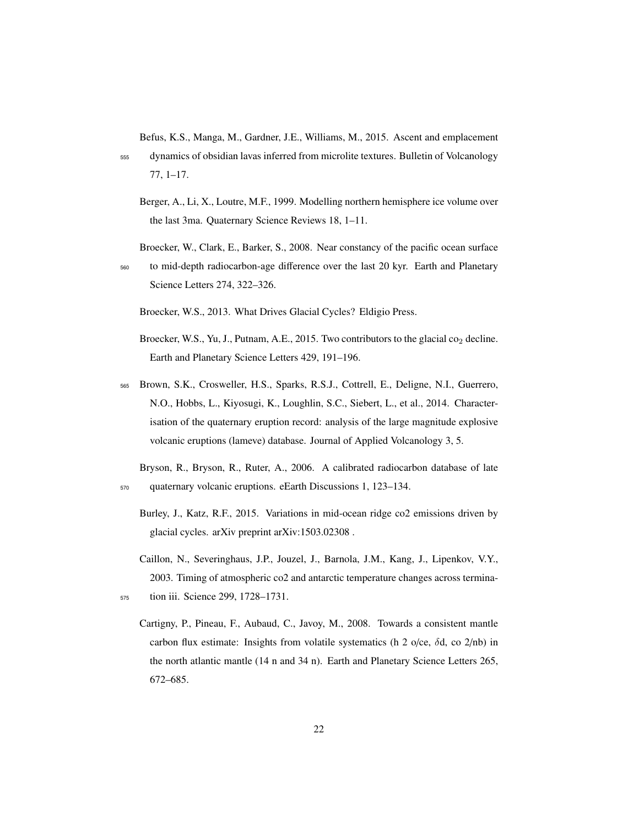<span id="page-21-5"></span>Befus, K.S., Manga, M., Gardner, J.E., Williams, M., 2015. Ascent and emplacement

<sup>555</sup> dynamics of obsidian lavas inferred from microlite textures. Bulletin of Volcanology 77, 1–17.

<span id="page-21-7"></span>Berger, A., Li, X., Loutre, M.F., 1999. Modelling northern hemisphere ice volume over the last 3ma. Quaternary Science Reviews 18, 1–11.

<span id="page-21-1"></span>Broecker, W., Clark, E., Barker, S., 2008. Near constancy of the pacific ocean surface

<sup>560</sup> to mid-depth radiocarbon-age difference over the last 20 kyr. Earth and Planetary Science Letters 274, 322–326.

<span id="page-21-0"></span>Broecker, W.S., 2013. What Drives Glacial Cycles? Eldigio Press.

- <span id="page-21-2"></span>Broecker, W.S., Yu, J., Putnam, A.E., 2015. Two contributors to the glacial  $\cos_2$  decline. Earth and Planetary Science Letters 429, 191–196.
- <span id="page-21-4"></span><sup>565</sup> Brown, S.K., Crosweller, H.S., Sparks, R.S.J., Cottrell, E., Deligne, N.I., Guerrero, N.O., Hobbs, L., Kiyosugi, K., Loughlin, S.C., Siebert, L., et al., 2014. Characterisation of the quaternary eruption record: analysis of the large magnitude explosive volcanic eruptions (lameve) database. Journal of Applied Volcanology 3, 5.

<span id="page-21-3"></span>Bryson, R., Bryson, R., Ruter, A., 2006. A calibrated radiocarbon database of late <sup>570</sup> quaternary volcanic eruptions. eEarth Discussions 1, 123–134.

- <span id="page-21-6"></span>Burley, J., Katz, R.F., 2015. Variations in mid-ocean ridge co2 emissions driven by glacial cycles. arXiv preprint arXiv:1503.02308 .
- <span id="page-21-9"></span><span id="page-21-8"></span>Caillon, N., Severinghaus, J.P., Jouzel, J., Barnola, J.M., Kang, J., Lipenkov, V.Y., 2003. Timing of atmospheric co2 and antarctic temperature changes across termina-<sup>575</sup> tion iii. Science 299, 1728–1731.
	- Cartigny, P., Pineau, F., Aubaud, C., Javoy, M., 2008. Towards a consistent mantle carbon flux estimate: Insights from volatile systematics (h 2 o/ce,  $\delta d$ , co 2/nb) in the north atlantic mantle (14 n and 34 n). Earth and Planetary Science Letters 265, 672–685.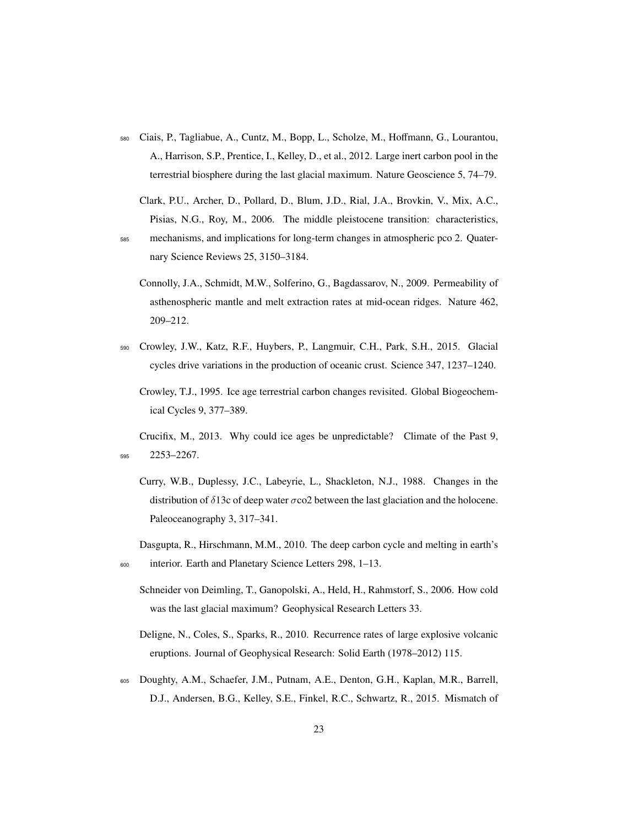<span id="page-22-5"></span><sup>580</sup> Ciais, P., Tagliabue, A., Cuntz, M., Bopp, L., Scholze, M., Hoffmann, G., Lourantou, A., Harrison, S.P., Prentice, I., Kelley, D., et al., 2012. Large inert carbon pool in the terrestrial biosphere during the last glacial maximum. Nature Geoscience 5, 74–79.

<span id="page-22-8"></span>Clark, P.U., Archer, D., Pollard, D., Blum, J.D., Rial, J.A., Brovkin, V., Mix, A.C., Pisias, N.G., Roy, M., 2006. The middle pleistocene transition: characteristics,

- <span id="page-22-4"></span><sup>585</sup> mechanisms, and implications for long-term changes in atmospheric pco 2. Quaternary Science Reviews 25, 3150–3184.
	- Connolly, J.A., Schmidt, M.W., Solferino, G., Bagdassarov, N., 2009. Permeability of asthenospheric mantle and melt extraction rates at mid-ocean ridges. Nature 462, 209–212.
- <span id="page-22-2"></span><span id="page-22-1"></span><sup>590</sup> Crowley, J.W., Katz, R.F., Huybers, P., Langmuir, C.H., Park, S.H., 2015. Glacial cycles drive variations in the production of oceanic crust. Science 347, 1237–1240.
	- Crowley, T.J., 1995. Ice age terrestrial carbon changes revisited. Global Biogeochemical Cycles 9, 377–389.

<span id="page-22-7"></span>Crucifix, M., 2013. Why could ice ages be unpredictable? Climate of the Past 9, <sup>595</sup> 2253–2267.

- <span id="page-22-6"></span>Curry, W.B., Duplessy, J.C., Labeyrie, L., Shackleton, N.J., 1988. Changes in the distribution of  $\delta$ 13c of deep water  $\sigma$ co2 between the last glaciation and the holocene. Paleoceanography 3, 317–341.
- <span id="page-22-9"></span><span id="page-22-3"></span>Dasgupta, R., Hirschmann, M.M., 2010. The deep carbon cycle and melting in earth's <sup>600</sup> interior. Earth and Planetary Science Letters 298, 1–13.
	- Schneider von Deimling, T., Ganopolski, A., Held, H., Rahmstorf, S., 2006. How cold was the last glacial maximum? Geophysical Research Letters 33.
	- Deligne, N., Coles, S., Sparks, R., 2010. Recurrence rates of large explosive volcanic eruptions. Journal of Geophysical Research: Solid Earth (1978–2012) 115.
- <span id="page-22-10"></span><span id="page-22-0"></span><sup>605</sup> Doughty, A.M., Schaefer, J.M., Putnam, A.E., Denton, G.H., Kaplan, M.R., Barrell, D.J., Andersen, B.G., Kelley, S.E., Finkel, R.C., Schwartz, R., 2015. Mismatch of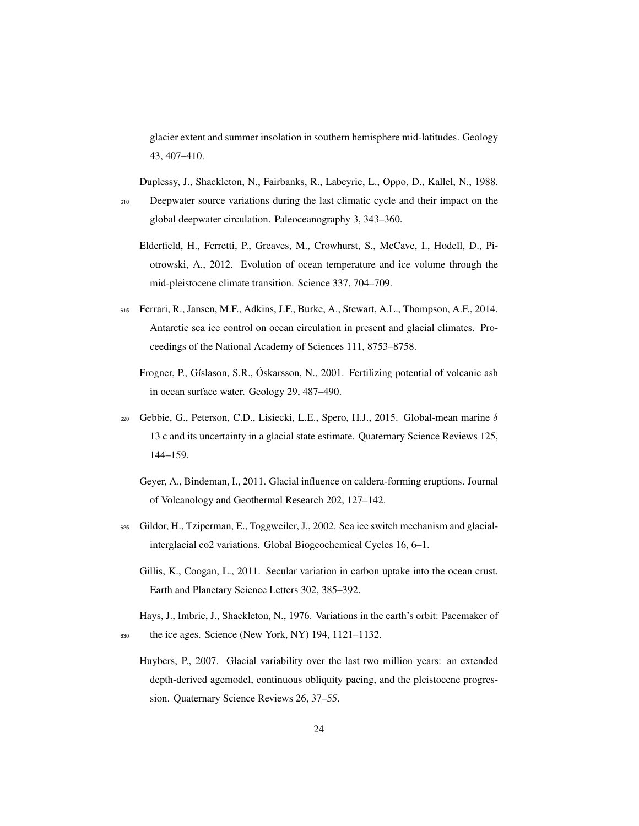glacier extent and summer insolation in southern hemisphere mid-latitudes. Geology 43, 407–410.

<span id="page-23-3"></span>Duplessy, J., Shackleton, N., Fairbanks, R., Labeyrie, L., Oppo, D., Kallel, N., 1988.

- <span id="page-23-7"></span><sup>610</sup> Deepwater source variations during the last climatic cycle and their impact on the global deepwater circulation. Paleoceanography 3, 343–360.
	- Elderfield, H., Ferretti, P., Greaves, M., Crowhurst, S., McCave, I., Hodell, D., Piotrowski, A., 2012. Evolution of ocean temperature and ice volume through the mid-pleistocene climate transition. Science 337, 704–709.
- <span id="page-23-5"></span><span id="page-23-1"></span><sup>615</sup> Ferrari, R., Jansen, M.F., Adkins, J.F., Burke, A., Stewart, A.L., Thompson, A.F., 2014. Antarctic sea ice control on ocean circulation in present and glacial climates. Proceedings of the National Academy of Sciences 111, 8753–8758.
	- Frogner, P., Gíslason, S.R., Óskarsson, N., 2001. Fertilizing potential of volcanic ash in ocean surface water. Geology 29, 487–490.
- <span id="page-23-9"></span><span id="page-23-2"></span>620 Gebbie, G., Peterson, C.D., Lisiecki, L.E., Spero, H.J., 2015. Global-mean marine  $\delta$ 13 c and its uncertainty in a glacial state estimate. Quaternary Science Reviews 125, 144–159.
	- Geyer, A., Bindeman, I., 2011. Glacial influence on caldera-forming eruptions. Journal of Volcanology and Geothermal Research 202, 127–142.
- <span id="page-23-4"></span><span id="page-23-0"></span><sup>625</sup> Gildor, H., Tziperman, E., Toggweiler, J., 2002. Sea ice switch mechanism and glacialinterglacial co2 variations. Global Biogeochemical Cycles 16, 6–1.
	- Gillis, K., Coogan, L., 2011. Secular variation in carbon uptake into the ocean crust. Earth and Planetary Science Letters 302, 385–392.
- <span id="page-23-8"></span><span id="page-23-6"></span>Hays, J., Imbrie, J., Shackleton, N., 1976. Variations in the earth's orbit: Pacemaker of <sup>630</sup> the ice ages. Science (New York, NY) 194, 1121–1132.
	- Huybers, P., 2007. Glacial variability over the last two million years: an extended depth-derived agemodel, continuous obliquity pacing, and the pleistocene progression. Quaternary Science Reviews 26, 37–55.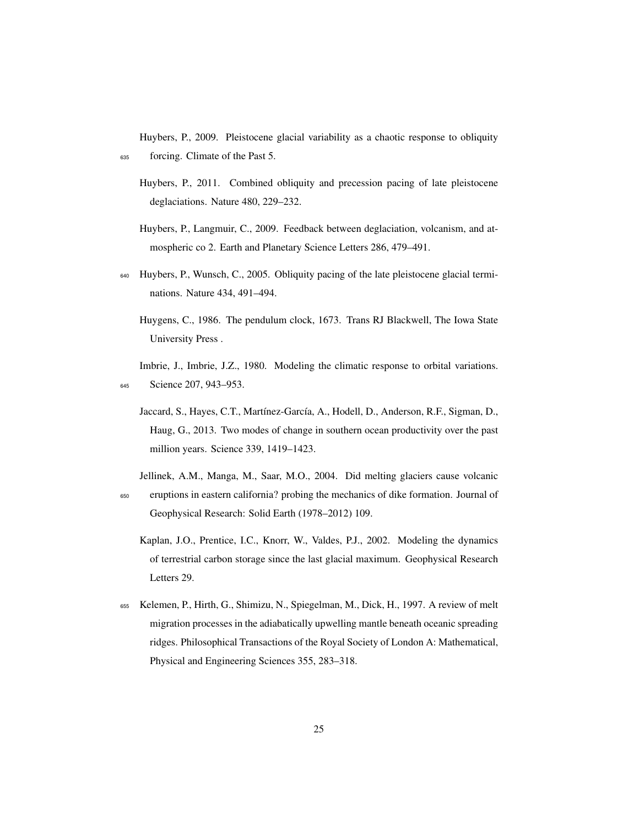<span id="page-24-8"></span>Huybers, P., 2009. Pleistocene glacial variability as a chaotic response to obliquity <sup>635</sup> forcing. Climate of the Past 5.

- <span id="page-24-6"></span>Huybers, P., 2011. Combined obliquity and precession pacing of late pleistocene deglaciations. Nature 480, 229–232.
- Huybers, P., Langmuir, C., 2009. Feedback between deglaciation, volcanism, and atmospheric co 2. Earth and Planetary Science Letters 286, 479–491.
- <span id="page-24-5"></span><span id="page-24-4"></span><sup>640</sup> Huybers, P., Wunsch, C., 2005. Obliquity pacing of the late pleistocene glacial terminations. Nature 434, 491–494.
	- Huygens, C., 1986. The pendulum clock, 1673. Trans RJ Blackwell, The Iowa State University Press .

<span id="page-24-7"></span>Imbrie, J., Imbrie, J.Z., 1980. Modeling the climatic response to orbital variations. 645 Science 207, 943-953.

- <span id="page-24-0"></span>Jaccard, S., Hayes, C.T., Martínez-García, A., Hodell, D., Anderson, R.F., Sigman, D., Haug, G., 2013. Two modes of change in southern ocean productivity over the past million years. Science 339, 1419–1423.
- <span id="page-24-3"></span><span id="page-24-1"></span>Jellinek, A.M., Manga, M., Saar, M.O., 2004. Did melting glaciers cause volcanic <sup>650</sup> eruptions in eastern california? probing the mechanics of dike formation. Journal of Geophysical Research: Solid Earth (1978–2012) 109.
	- Kaplan, J.O., Prentice, I.C., Knorr, W., Valdes, P.J., 2002. Modeling the dynamics of terrestrial carbon storage since the last glacial maximum. Geophysical Research Letters 29.
- <span id="page-24-2"></span><sup>655</sup> Kelemen, P., Hirth, G., Shimizu, N., Spiegelman, M., Dick, H., 1997. A review of melt migration processes in the adiabatically upwelling mantle beneath oceanic spreading ridges. Philosophical Transactions of the Royal Society of London A: Mathematical, Physical and Engineering Sciences 355, 283–318.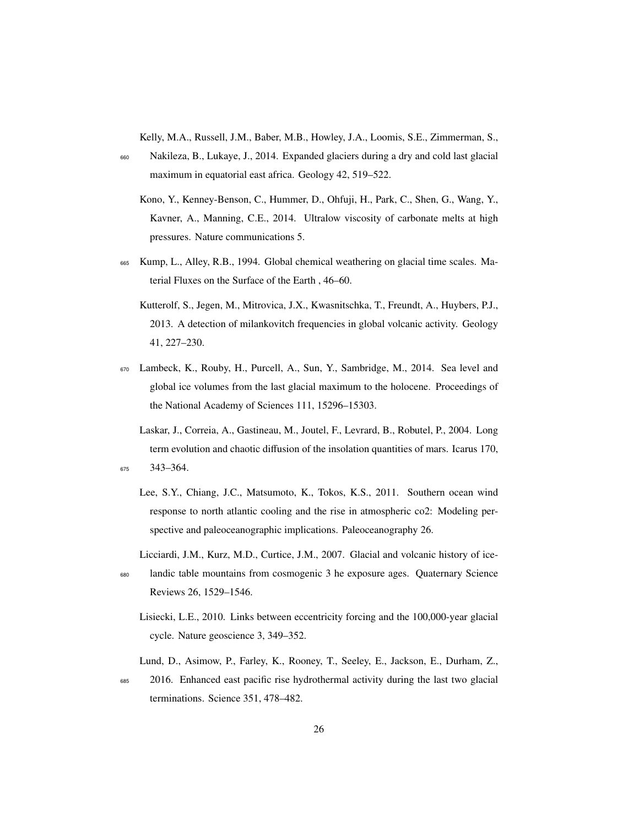<span id="page-25-0"></span>Kelly, M.A., Russell, J.M., Baber, M.B., Howley, J.A., Loomis, S.E., Zimmerman, S.,

- <span id="page-25-9"></span><sup>660</sup> Nakileza, B., Lukaye, J., 2014. Expanded glaciers during a dry and cold last glacial maximum in equatorial east africa. Geology 42, 519–522.
	- Kono, Y., Kenney-Benson, C., Hummer, D., Ohfuji, H., Park, C., Shen, G., Wang, Y., Kavner, A., Manning, C.E., 2014. Ultralow viscosity of carbonate melts at high pressures. Nature communications 5.
- <span id="page-25-5"></span><span id="page-25-3"></span><sup>665</sup> Kump, L., Alley, R.B., 1994. Global chemical weathering on glacial time scales. Material Fluxes on the Surface of the Earth , 46–60.
	- Kutterolf, S., Jegen, M., Mitrovica, J.X., Kwasnitschka, T., Freundt, A., Huybers, P.J., 2013. A detection of milankovitch frequencies in global volcanic activity. Geology 41, 227–230.
- <span id="page-25-8"></span><sup>670</sup> Lambeck, K., Rouby, H., Purcell, A., Sun, Y., Sambridge, M., 2014. Sea level and global ice volumes from the last glacial maximum to the holocene. Proceedings of the National Academy of Sciences 111, 15296–15303.
- <span id="page-25-7"></span><span id="page-25-1"></span>Laskar, J., Correia, A., Gastineau, M., Joutel, F., Levrard, B., Robutel, P., 2004. Long term evolution and chaotic diffusion of the insolation quantities of mars. Icarus 170, <sup>675</sup> 343–364.
	- Lee, S.Y., Chiang, J.C., Matsumoto, K., Tokos, K.S., 2011. Southern ocean wind response to north atlantic cooling and the rise in atmospheric co2: Modeling perspective and paleoceanographic implications. Paleoceanography 26.
- <span id="page-25-2"></span>Licciardi, J.M., Kurz, M.D., Curtice, J.M., 2007. Glacial and volcanic history of ice-<sup>680</sup> landic table mountains from cosmogenic 3 he exposure ages. Quaternary Science

Reviews 26, 1529–1546.

- <span id="page-25-6"></span>Lisiecki, L.E., 2010. Links between eccentricity forcing and the 100,000-year glacial cycle. Nature geoscience 3, 349–352.
- <span id="page-25-4"></span>Lund, D., Asimow, P., Farley, K., Rooney, T., Seeley, E., Jackson, E., Durham, Z.,
- <sup>685</sup> 2016. Enhanced east pacific rise hydrothermal activity during the last two glacial terminations. Science 351, 478–482.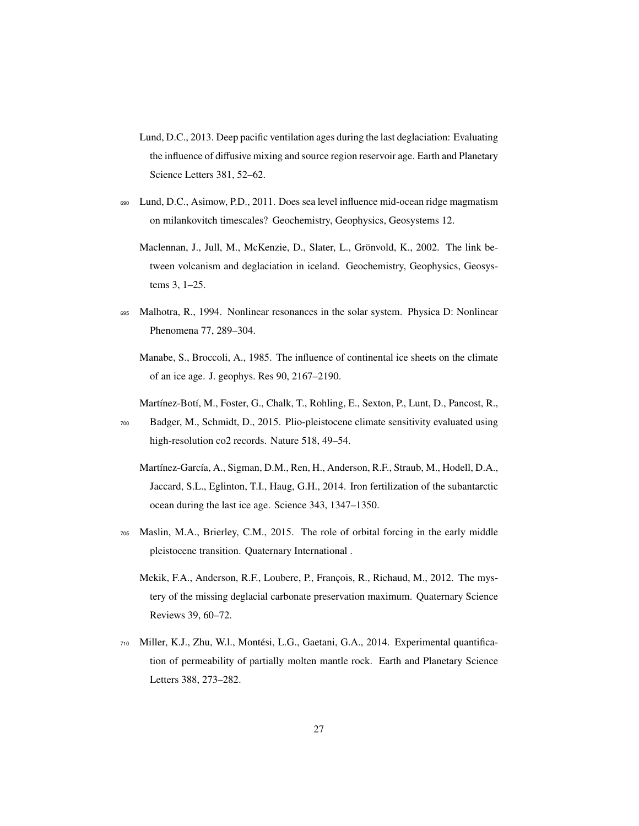- <span id="page-26-2"></span>Lund, D.C., 2013. Deep pacific ventilation ages during the last deglaciation: Evaluating the influence of diffusive mixing and source region reservoir age. Earth and Planetary Science Letters 381, 52–62.
- <span id="page-26-5"></span><span id="page-26-4"></span><sup>690</sup> Lund, D.C., Asimow, P.D., 2011. Does sea level influence mid-ocean ridge magmatism on milankovitch timescales? Geochemistry, Geophysics, Geosystems 12.
	- Maclennan, J., Jull, M., McKenzie, D., Slater, L., Grönvold, K., 2002. The link between volcanism and deglaciation in iceland. Geochemistry, Geophysics, Geosystems 3, 1–25.
- <span id="page-26-7"></span><span id="page-26-0"></span><sup>695</sup> Malhotra, R., 1994. Nonlinear resonances in the solar system. Physica D: Nonlinear Phenomena 77, 289–304.
	- Manabe, S., Broccoli, A., 1985. The influence of continental ice sheets on the climate of an ice age. J. geophys. Res 90, 2167–2190.
	- Martínez-Botí, M., Foster, G., Chalk, T., Rohling, E., Sexton, P., Lunt, D., Pancost, R.,
- <span id="page-26-9"></span><span id="page-26-1"></span><sup>700</sup> Badger, M., Schmidt, D., 2015. Plio-pleistocene climate sensitivity evaluated using high-resolution co2 records. Nature 518, 49–54.
	- Martínez-García, A., Sigman, D.M., Ren, H., Anderson, R.F., Straub, M., Hodell, D.A., Jaccard, S.L., Eglinton, T.I., Haug, G.H., 2014. Iron fertilization of the subantarctic ocean during the last ice age. Science 343, 1347–1350.
- <span id="page-26-8"></span><span id="page-26-3"></span><sup>705</sup> Maslin, M.A., Brierley, C.M., 2015. The role of orbital forcing in the early middle pleistocene transition. Quaternary International .
	- Mekik, F.A., Anderson, R.F., Loubere, P., François, R., Richaud, M., 2012. The mystery of the missing deglacial carbonate preservation maximum. Quaternary Science Reviews 39, 60–72.
- <span id="page-26-6"></span><sup>710</sup> Miller, K.J., Zhu, W.l., Montési, L.G., Gaetani, G.A., 2014. Experimental quantification of permeability of partially molten mantle rock. Earth and Planetary Science Letters 388, 273–282.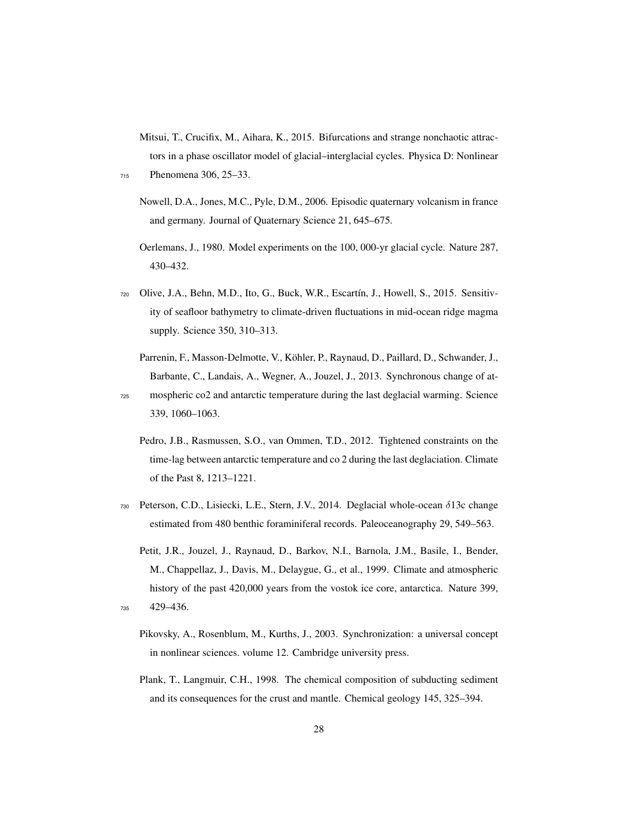<span id="page-27-8"></span>Mitsui, T., Crucifix, M., Aihara, K., 2015. Bifurcations and strange nonchaotic attractors in a phase oscillator model of glacial–interglacial cycles. Physica D: Nonlinear

- Nowell, D.A., Jones, M.C., Pyle, D.M., 2006. Episodic quaternary volcanism in france and germany. Journal of Quaternary Science 21, 645–675.
- <span id="page-27-7"></span>Oerlemans, J., 1980. Model experiments on the 100, 000-yr glacial cycle. Nature 287, 430–432.
- <span id="page-27-4"></span><sup>720</sup> Olive, J.A., Behn, M.D., Ito, G., Buck, W.R., Escartín, J., Howell, S., 2015. Sensitivity of seafloor bathymetry to climate-driven fluctuations in mid-ocean ridge magma supply. Science 350, 310–313.
	- Parrenin, F., Masson-Delmotte, V., Köhler, P., Raynaud, D., Paillard, D., Schwander, J., Barbante, C., Landais, A., Wegner, A., Jouzel, J., 2013. Synchronous change of at-

<span id="page-27-1"></span><sup>725</sup> mospheric co2 and antarctic temperature during the last deglacial warming. Science 339, 1060–1063.

- <span id="page-27-0"></span>Pedro, J.B., Rasmussen, S.O., van Ommen, T.D., 2012. Tightened constraints on the time-lag between antarctic temperature and co 2 during the last deglaciation. Climate of the Past 8, 1213–1221.
- <span id="page-27-2"></span><sup>730</sup> Peterson, C.D., Lisiecki, L.E., Stern, J.V., 2014. Deglacial whole-ocean δ13c change estimated from 480 benthic foraminiferal records. Paleoceanography 29, 549–563.
- <span id="page-27-9"></span><span id="page-27-6"></span><span id="page-27-5"></span>Petit, J.R., Jouzel, J., Raynaud, D., Barkov, N.I., Barnola, J.M., Basile, I., Bender, M., Chappellaz, J., Davis, M., Delaygue, G., et al., 1999. Climate and atmospheric history of the past 420,000 years from the vostok ice core, antarctica. Nature 399, <sup>735</sup> 429–436.
	- Pikovsky, A., Rosenblum, M., Kurths, J., 2003. Synchronization: a universal concept in nonlinear sciences. volume 12. Cambridge university press.
	- Plank, T., Langmuir, C.H., 1998. The chemical composition of subducting sediment and its consequences for the crust and mantle. Chemical geology 145, 325–394.

<span id="page-27-3"></span><sup>715</sup> Phenomena 306, 25–33.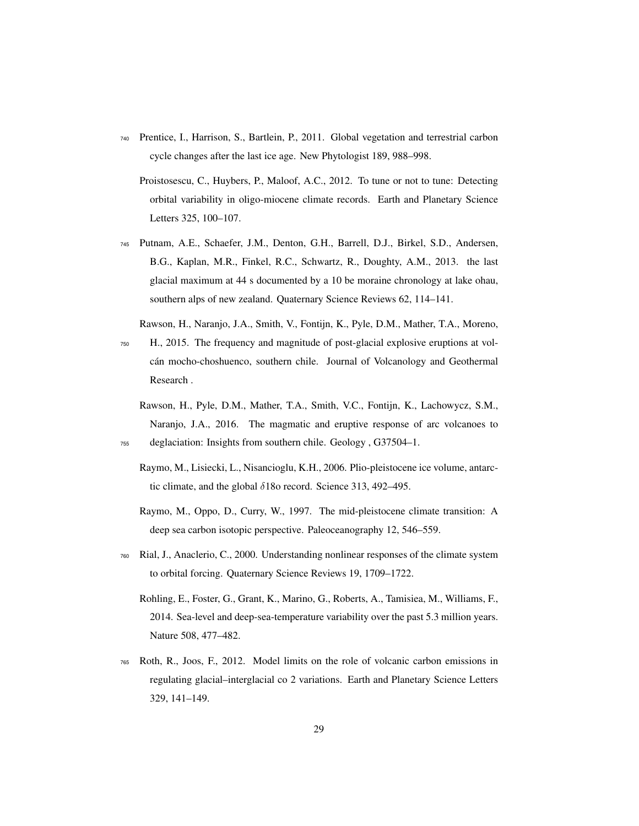- <span id="page-28-6"></span><span id="page-28-4"></span><sup>740</sup> Prentice, I., Harrison, S., Bartlein, P., 2011. Global vegetation and terrestrial carbon cycle changes after the last ice age. New Phytologist 189, 988–998.
	- Proistosescu, C., Huybers, P., Maloof, A.C., 2012. To tune or not to tune: Detecting orbital variability in oligo-miocene climate records. Earth and Planetary Science Letters 325, 100–107.
- <span id="page-28-0"></span><sup>745</sup> Putnam, A.E., Schaefer, J.M., Denton, G.H., Barrell, D.J., Birkel, S.D., Andersen, B.G., Kaplan, M.R., Finkel, R.C., Schwartz, R., Doughty, A.M., 2013. the last glacial maximum at 44 s documented by a 10 be moraine chronology at lake ohau, southern alps of new zealand. Quaternary Science Reviews 62, 114–141.
- <span id="page-28-9"></span>Rawson, H., Naranjo, J.A., Smith, V., Fontijn, K., Pyle, D.M., Mather, T.A., Moreno, <sup>750</sup> H., 2015. The frequency and magnitude of post-glacial explosive eruptions at volcán mocho-choshuenco, southern chile. Journal of Volcanology and Geothermal Research .
- <span id="page-28-8"></span><span id="page-28-1"></span>Rawson, H., Pyle, D.M., Mather, T.A., Smith, V.C., Fontijn, K., Lachowycz, S.M., Naranjo, J.A., 2016. The magmatic and eruptive response of arc volcanoes to <sup>755</sup> deglaciation: Insights from southern chile. Geology , G37504–1.
	- Raymo, M., Lisiecki, L., Nisancioglu, K.H., 2006. Plio-pleistocene ice volume, antarctic climate, and the global δ18o record. Science 313, 492–495.
	- Raymo, M., Oppo, D., Curry, W., 1997. The mid-pleistocene climate transition: A deep sea carbon isotopic perspective. Paleoceanography 12, 546–559.
- <span id="page-28-7"></span><span id="page-28-5"></span><span id="page-28-3"></span><sup>760</sup> Rial, J., Anaclerio, C., 2000. Understanding nonlinear responses of the climate system to orbital forcing. Quaternary Science Reviews 19, 1709–1722.
	- Rohling, E., Foster, G., Grant, K., Marino, G., Roberts, A., Tamisiea, M., Williams, F., 2014. Sea-level and deep-sea-temperature variability over the past 5.3 million years. Nature 508, 477–482.
- <span id="page-28-2"></span><sup>765</sup> Roth, R., Joos, F., 2012. Model limits on the role of volcanic carbon emissions in regulating glacial–interglacial co 2 variations. Earth and Planetary Science Letters 329, 141–149.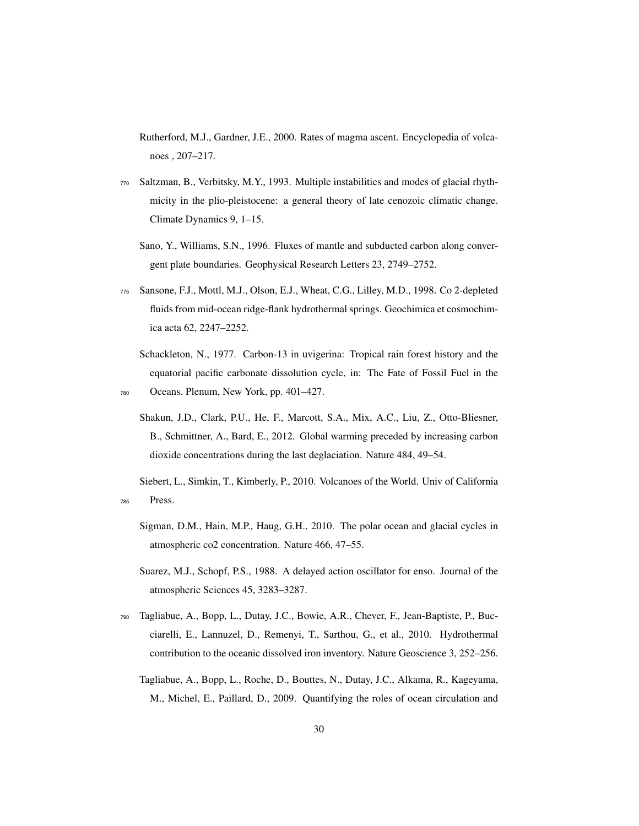<span id="page-29-3"></span>Rutherford, M.J., Gardner, J.E., 2000. Rates of magma ascent. Encyclopedia of volcanoes , 207–217.

- <span id="page-29-10"></span><span id="page-29-7"></span><sup>770</sup> Saltzman, B., Verbitsky, M.Y., 1993. Multiple instabilities and modes of glacial rhythmicity in the plio-pleistocene: a general theory of late cenozoic climatic change. Climate Dynamics 9, 1–15.
	- Sano, Y., Williams, S.N., 1996. Fluxes of mantle and subducted carbon along convergent plate boundaries. Geophysical Research Letters 23, 2749–2752.
- <span id="page-29-8"></span><sup>775</sup> Sansone, F.J., Mottl, M.J., Olson, E.J., Wheat, C.G., Lilley, M.D., 1998. Co 2-depleted fluids from mid-ocean ridge-flank hydrothermal springs. Geochimica et cosmochimica acta 62, 2247–2252.
- <span id="page-29-5"></span><span id="page-29-0"></span>Schackleton, N., 1977. Carbon-13 in uvigerina: Tropical rain forest history and the equatorial pacific carbonate dissolution cycle, in: The Fate of Fossil Fuel in the <sup>780</sup> Oceans. Plenum, New York, pp. 401–427.
	- Shakun, J.D., Clark, P.U., He, F., Marcott, S.A., Mix, A.C., Liu, Z., Otto-Bliesner, B., Schmittner, A., Bard, E., 2012. Global warming preceded by increasing carbon dioxide concentrations during the last deglaciation. Nature 484, 49–54.

<span id="page-29-2"></span>Siebert, L., Simkin, T., Kimberly, P., 2010. Volcanoes of the World. Univ of California <sup>785</sup> Press.

- <span id="page-29-1"></span>Sigman, D.M., Hain, M.P., Haug, G.H., 2010. The polar ocean and glacial cycles in atmospheric co2 concentration. Nature 466, 47–55.
- <span id="page-29-4"></span>Suarez, M.J., Schopf, P.S., 1988. A delayed action oscillator for enso. Journal of the atmospheric Sciences 45, 3283–3287.
- <span id="page-29-9"></span><span id="page-29-6"></span><sup>790</sup> Tagliabue, A., Bopp, L., Dutay, J.C., Bowie, A.R., Chever, F., Jean-Baptiste, P., Bucciarelli, E., Lannuzel, D., Remenyi, T., Sarthou, G., et al., 2010. Hydrothermal contribution to the oceanic dissolved iron inventory. Nature Geoscience 3, 252–256.
	- Tagliabue, A., Bopp, L., Roche, D., Bouttes, N., Dutay, J.C., Alkama, R., Kageyama, M., Michel, E., Paillard, D., 2009. Quantifying the roles of ocean circulation and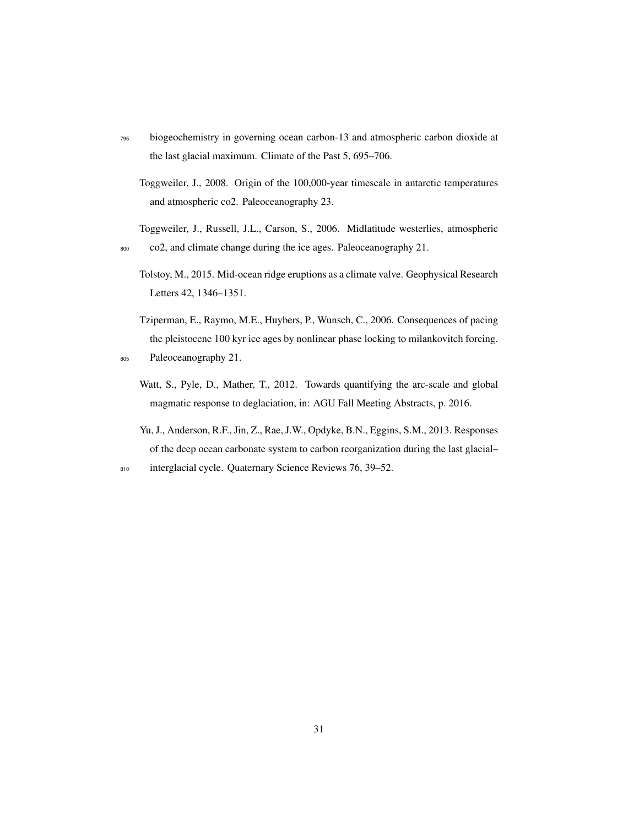- <span id="page-30-5"></span><sup>795</sup> biogeochemistry in governing ocean carbon-13 and atmospheric carbon dioxide at the last glacial maximum. Climate of the Past 5, 695–706.
	- Toggweiler, J., 2008. Origin of the 100,000-year timescale in antarctic temperatures and atmospheric co2. Paleoceanography 23.
- <span id="page-30-3"></span><span id="page-30-0"></span>Toggweiler, J., Russell, J.L., Carson, S., 2006. Midlatitude westerlies, atmospheric <sup>800</sup> co2, and climate change during the ice ages. Paleoceanography 21.
	- Tolstoy, M., 2015. Mid-ocean ridge eruptions as a climate valve. Geophysical Research Letters 42, 1346–1351.
- <span id="page-30-4"></span><span id="page-30-2"></span>Tziperman, E., Raymo, M.E., Huybers, P., Wunsch, C., 2006. Consequences of pacing the pleistocene 100 kyr ice ages by nonlinear phase locking to milankovitch forcing. <sup>805</sup> Paleoceanography 21.
	- Watt, S., Pyle, D., Mather, T., 2012. Towards quantifying the arc-scale and global magmatic response to deglaciation, in: AGU Fall Meeting Abstracts, p. 2016.
	- Yu, J., Anderson, R.F., Jin, Z., Rae, J.W., Opdyke, B.N., Eggins, S.M., 2013. Responses of the deep ocean carbonate system to carbon reorganization during the last glacial–
- <span id="page-30-1"></span>810 interglacial cycle. Quaternary Science Reviews 76, 39–52.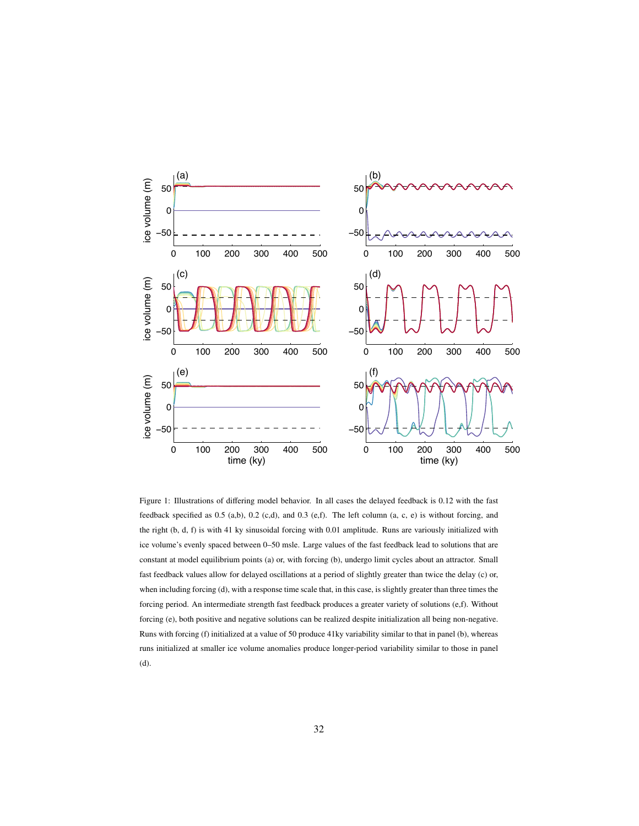

Figure 1: Illustrations of differing model behavior. In all cases the delayed feedback is 0.12 with the fast feedback specified as 0.5 (a,b), 0.2 (c,d), and 0.3 (e,f). The left column (a, c, e) is without forcing, and the right (b, d, f) is with 41 ky sinusoidal forcing with 0.01 amplitude. Runs are variously initialized with ice volume's evenly spaced between 0–50 msle. Large values of the fast feedback lead to solutions that are constant at model equilibrium points (a) or, with forcing (b), undergo limit cycles about an attractor. Small fast feedback values allow for delayed oscillations at a period of slightly greater than twice the delay (c) or, when including forcing (d), with a response time scale that, in this case, is slightly greater than three times the forcing period. An intermediate strength fast feedback produces a greater variety of solutions (e,f). Without forcing (e), both positive and negative solutions can be realized despite initialization all being non-negative. Runs with forcing (f) initialized at a value of 50 produce 41ky variability similar to that in panel (b), whereas runs initialized at smaller ice volume anomalies produce longer-period variability similar to those in panel (d).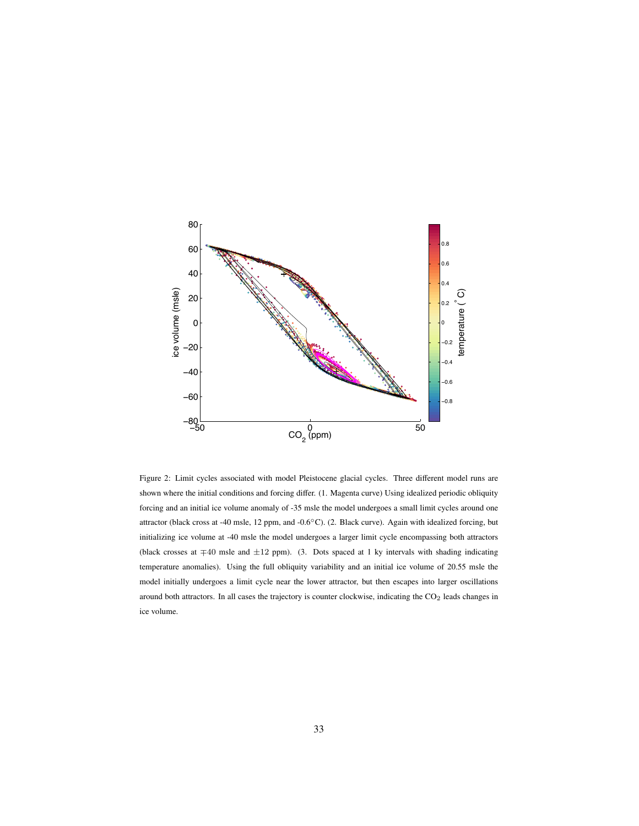

Figure 2: Limit cycles associated with model Pleistocene glacial cycles. Three different model runs are shown where the initial conditions and forcing differ. (1. Magenta curve) Using idealized periodic obliquity forcing and an initial ice volume anomaly of -35 msle the model undergoes a small limit cycles around one attractor (black cross at -40 msle, 12 ppm, and -0.6◦C). (2. Black curve). Again with idealized forcing, but initializing ice volume at -40 msle the model undergoes a larger limit cycle encompassing both attractors (black crosses at ∓40 msle and ±12 ppm). (3. Dots spaced at 1 ky intervals with shading indicating temperature anomalies). Using the full obliquity variability and an initial ice volume of 20.55 msle the model initially undergoes a limit cycle near the lower attractor, but then escapes into larger oscillations around both attractors. In all cases the trajectory is counter clockwise, indicating the  $CO<sub>2</sub>$  leads changes in ice volume.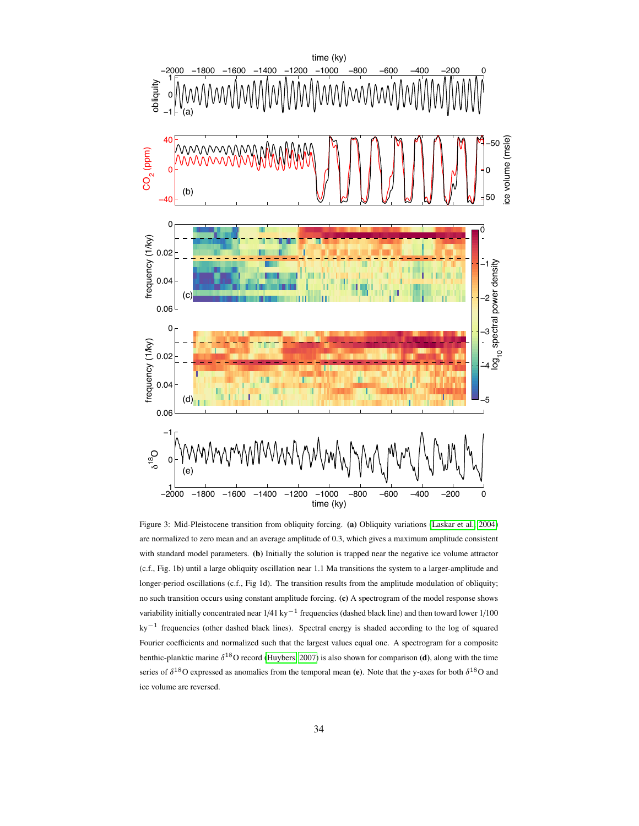

Figure 3: Mid-Pleistocene transition from obliquity forcing. (a) Obliquity variations [\(Laskar et al., 2004\)](#page-25-7) are normalized to zero mean and an average amplitude of 0.3, which gives a maximum amplitude consistent with standard model parameters. (b) Initially the solution is trapped near the negative ice volume attractor (c.f., Fig. 1b) until a large obliquity oscillation near 1.1 Ma transitions the system to a larger-amplitude and longer-period oscillations (c.f., Fig 1d). The transition results from the amplitude modulation of obliquity; no such transition occurs using constant amplitude forcing. (c) A spectrogram of the model response shows variability initially concentrated near  $1/41 \text{ ky}^{-1}$  frequencies (dashed black line) and then toward lower  $1/100$ ky−<sup>1</sup> frequencies (other dashed black lines). Spectral energy is shaded according to the log of squared Fourier coefficients and normalized such that the largest values equal one. A spectrogram for a composite benthic-planktic marine  $\delta^{18}$ O record [\(Huybers, 2007\)](#page-23-8) is also shown for comparison (d), along with the time series of  $\delta^{18}$ O expressed as anomalies from the temporal mean (e). Note that the y-axes for both  $\delta^{18}$ O and ice volume are reversed.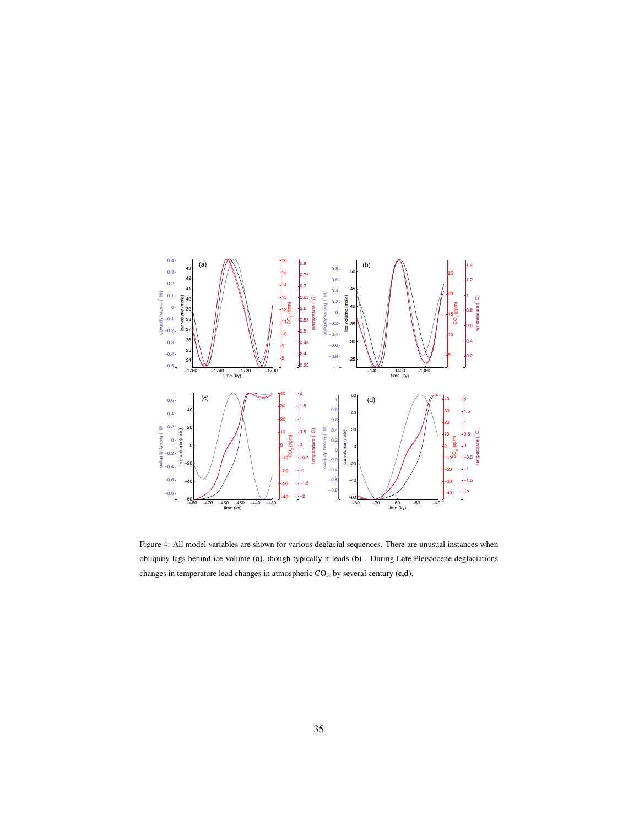

Figure 4: All model variables are shown for various deglacial sequences. There are unusual instances when obliquity lags behind ice volume (a), though typically it leads (b) . During Late Pleistocene deglaciations changes in temperature lead changes in atmospheric  $CO<sub>2</sub>$  by several century (c,d).